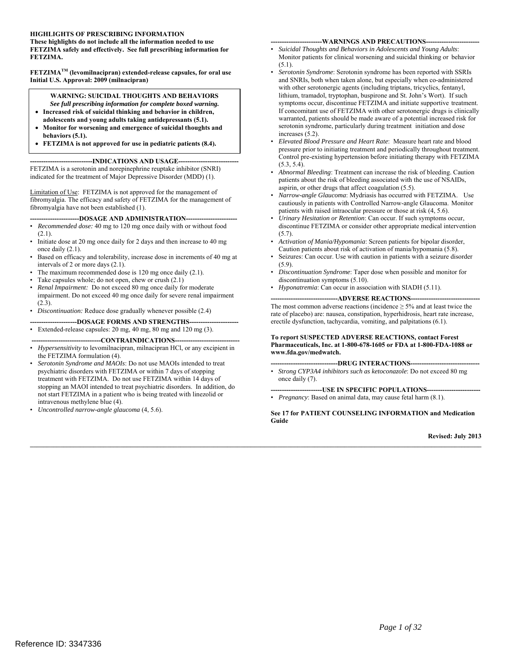#### **HIGHLIGHTS OF PRESCRIBING INFORMATION**

**These highlights do not include all the information needed to use -----------------------WARNINGS AND PRECAUTIONS------------------------ FETZIMA safely and effectively. See full prescribing information for** 

**FETZIMA. FETZIMATM (levomilnacipran) extended-release capsules, for oral use Initial U.S. Approval: 2009 (milnacipran)** 

#### **WARNING: SUICIDAL THOUGHTS AND BEHAVIORS**  *See full prescribing information for complete boxed warning.*

- **Increased risk of suicidal thinking and behavior in children, adolescents and young adults taking antidepressants (5.1).**
- **Monitor for worsening and emergence of suicidal thoughts and behaviors (5.1).**
- **FETZIMA is not approved for use in pediatric patients (8.4).**

---INDICATIONS AND USAGE--FETZIMA is a serotonin and norepinephrine reuptake inhibitor (SNRI) indicated for the treatment of Major Depressive Disorder (MDD) (1).

Limitation of Use: FETZIMA is not approved for the management of fibromyalgia. The efficacy and safety of FETZIMA for the management of fibromyalgia have not been established (1).

- **----------------------DOSAGE AND ADMINISTRATION-----------------------** • *Recommended dose:* 40 mg to 120 mg once daily with or without food
- $(2.1)$ .
- Initiate dose at 20 mg once daily for 2 days and then increase to 40 mg once daily (2.1). <br>• Based on efficacy and tolerability, increase dose in increments of 40 mg at
- intervals of 2 or more days (2.1).
- The maximum recommended dose is 120 mg once daily (2.1).
- Take capsules whole; do not open, chew or crush  $(2.1)$
- *Renal Impairment:* Do not exceed 80 mg once daily for moderate impairment. Do not exceed 40 mg once daily for severe renal impairment (2.3).
- *Discontinuation:* Reduce dose gradually whenever possible (2.4)
- ---DOSAGE FORMS AND STRENGTHS--

• Extended-release capsules: 20 mg, 40 mg, 80 mg and 120 mg (3).

#### **-------------------------------CONTRAINDICATIONS-----------------------------**

- the FETZIMA formulation (4). • *Hypersensitivity* to levomilnacipran, milnacipran HCl, or any excipient in
- Serotonin Syndrome and MAOIs: Do not use MAOIs intended to treat psychiatric disorders with FETZIMA or within 7 days of stopping treatment with FETZIMA. Do not use FETZIMA within 14 days of stopping an MAOI intended to treat psychiatric disorders. In addition, do not start FETZIMA in a patient who is being treated with linezolid or intravenous methylene blue (4).
- *Uncontrolled narrow-angle glaucoma* (4, 5.6).

- Monitor patients for clinical worsening and suicidal thinking or behavior • *Suicidal Thoughts and Behaviors in Adolescents and Young Adults*: (5.1).
- *Serotonin Syndrome*: Serotonin syndrome has been reported with SSRIs and SNRIs, both when taken alone, but especially when co-administered with other serotonergic agents (including triptans, tricyclics, fentanyl, lithium, tramadol, tryptophan, buspirone and St. John's Wort). If such symptoms occur, discontinue FETZIMA and initiate supportive treatment. If concomitant use of FETZIMA with other serotonergic drugs is clinically warranted, patients should be made aware of a potential increased risk for serotonin syndrome, particularly during treatment initiation and dose increases (5.2).
- *Elevated Blood Pressure and Heart Rate*: Measure heart rate and blood pressure prior to initiating treatment and periodically throughout treatment. Control pre-existing hypertension before initiating therapy with FETZIMA (5.3, 5.4).
- *Abnormal Bleeding*: Treatment can increase the risk of bleeding. Caution patients about the risk of bleeding associated with the use of NSAIDs, aspirin, or other drugs that affect coagulation (5.5).
- • *Narrow-angle Glaucoma*: Mydriasis has occurred with FETZIMA. Use cautiously in patients with Controlled Narrow-angle Glaucoma. Monitor patients with raised intraocular pressure or those at risk (4, 5.6).
- *Urinary Hesitation or Retention*: Can occur. If such symptoms occur, discontinue FETZIMA or consider other appropriate medical intervention (5.7).
- *Activation of Mania/Hypomania*: Screen patients for bipolar disorder, Caution patients about risk of activation of mania/hypomania (5.8).
- Seizures: Can occur. Use with caution in patients with a seizure disorder (5.9).
- *Discontinuation Syndrome*: Taper dose when possible and monitor for discontinuation symptoms (5.10).
- *Hyponatremia*: Can occur in association with SIADH (5.11).

#### **----ADVERSE REACTIONS----**

The most common adverse reactions (incidence  $\geq$  5% and at least twice the rate of placebo) are: nausea, constipation, hyperhidrosis, heart rate increase, erectile dysfunction, tachycardia, vomiting, and palpitations (6.1).

#### **To report SUSPECTED ADVERSE REACTIONS, contact Forest Pharmaceuticals, Inc. at 1-800-678-1605 or FDA at 1-800-FDA-1088 or www.fda.gov/medwatch.**

- **------------------------------DRUG INTERACTIONS-------------------------------**
- *• Strong CYP3A4 inhibitors such as ketoconazole*: Do not exceed 80 mg once daily (7).
- • *Pregnancy*: Based on animal data, may cause fetal harm (8.1). ---USE IN SPECIFIC POPULATIONS--

**\_\_\_\_\_\_\_\_\_\_\_\_\_\_\_\_\_\_\_\_\_\_\_\_\_\_\_\_\_\_\_\_\_\_\_\_\_\_\_\_\_\_\_\_\_\_\_\_\_\_\_\_\_\_\_\_\_\_\_\_\_\_\_\_\_\_\_\_\_\_\_\_\_\_\_\_\_\_\_\_\_\_\_\_\_\_\_\_\_\_\_\_\_\_\_\_\_\_\_\_\_\_\_\_\_\_\_\_\_\_\_\_\_\_\_\_\_\_\_\_\_\_\_\_\_\_\_\_\_\_\_\_\_\_\_** 

#### **See 17 for PATIENT COUNSELING INFORMATION and Medication Guide**

**Revised: July 2013**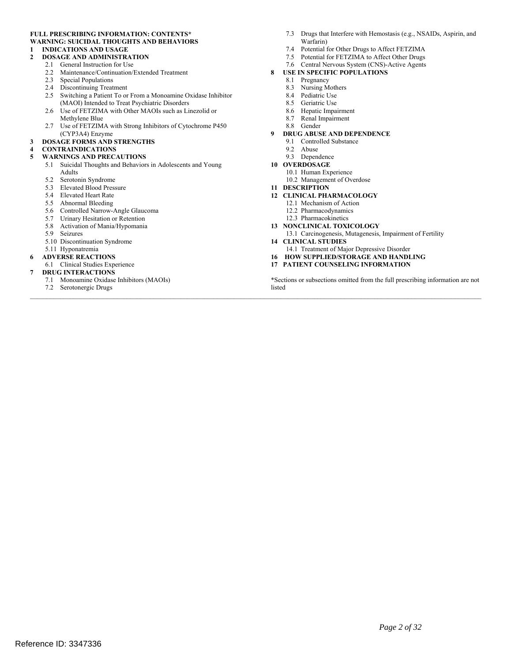#### **FULL PRESCRIBING INFORMATION: CONTENTS\***

#### **WARNING: SUICIDAL THOUGHTS AND BEHAVIORS**

**1 INDICATIONS AND USAGE** 

#### **2 DOSAGE AND ADMINISTRATION**

- 2.1 General Instruction for Use
- 2.2 Maintenance/Continuation/Extended Treatment
- 2.3 Special Populations
- 2.4 Discontinuing Treatment
- 2.5 Switching a Patient To or From a Monoamine Oxidase Inhibitor (MAOI) Intended to Treat Psychiatric Disorders
- 2.6 Use of FETZIMA with Other MAOIs such as Linezolid or Methylene Blue
- 2.7 Use of FETZIMA with Strong Inhibitors of Cytochrome P450 (CYP3A4) Enzyme
- **3 DOSAGE FORMS AND STRENGTHS**

#### **4 CONTRAINDICATIONS**

#### **5 WARNINGS AND PRECAUTIONS**

- 5.1 Suicidal Thoughts and Behaviors in Adolescents and Young Adults
- 5.2 Serotonin Syndrome<br>5.3 Elevated Blood Press
- Elevated Blood Pressure
- 5.4 Elevated Heart Rate
- 5.5 Abnormal Bleeding
- 5.6 Controlled Narrow-Angle Glaucoma
- 5.7 Urinary Hesitation or Retention
- 5.8 Activation of Mania/Hypomania
- 5.9 Seizures
- 5.10 Discontinuation Syndrome
- 5.11 Hyponatremia

#### **6 ADVERSE REACTIONS**

- 6.1 Clinical Studies Experience
- **7 DRUG INTERACTIONS**  7.1 Monoamine Oxidase Inhibitors (MAOIs)
	- 7.2 Serotonergic Drugs
- 7.3 Drugs that Interfere with Hemostasis (e.g., NSAIDs, Aspirin, and Warfarin)
- 7.4 Potential for Other Drugs to Affect FETZIMA
- 7.5 Potential for FETZIMA to Affect Other Drugs
- 7.6 Central Nervous System (CNS)-Active Agents

#### **8 USE IN SPECIFIC POPULATIONS**

- 8.1 Pregnancy
- 8.3 Nursing Mothers
- 8.4 Pediatric Use
- 8.5 Geriatric Use
- 8.6 Hepatic Impairment
- 8.8 Gender 8.7 Renal Impairment
- **9 DRUG ABUSE AND DEPENDENCE** 
	- 9.1 Controlled Substance
	- 9.2 Abuse
	- 9.3 Dependence
- **10 OVERDOSAGE** 
	- 10.1 Human Experience
	- 10.2 Management of Overdose
- **11 DESCRIPTION**

 $\mathcal{L}_\mathcal{L} = \mathcal{L}_\mathcal{L} = \mathcal{L}_\mathcal{L} = \mathcal{L}_\mathcal{L} = \mathcal{L}_\mathcal{L} = \mathcal{L}_\mathcal{L} = \mathcal{L}_\mathcal{L} = \mathcal{L}_\mathcal{L} = \mathcal{L}_\mathcal{L} = \mathcal{L}_\mathcal{L} = \mathcal{L}_\mathcal{L} = \mathcal{L}_\mathcal{L} = \mathcal{L}_\mathcal{L} = \mathcal{L}_\mathcal{L} = \mathcal{L}_\mathcal{L} = \mathcal{L}_\mathcal{L} = \mathcal{L}_\mathcal{L}$ 

#### **12 CLINICAL PHARMACOLOGY**

- 12.1 Mechanism of Action
- 12.2 Pharmacodynamics
- 12.3 Pharmacokinetics
- **13 NONCLINICAL TOXICOLOGY**
- 13.1 Carcinogenesis, Mutagenesis, Impairment of Fertility **14 CLINICAL STUDIES**
- 14.1 Treatment of Major Depressive Disorder
- **16 HOW SUPPLIED/STORAGE AND HANDLING**
- **17 PATIENT COUNSELING INFORMATION**

\*Sections or subsections omitted from the full prescribing information are not listed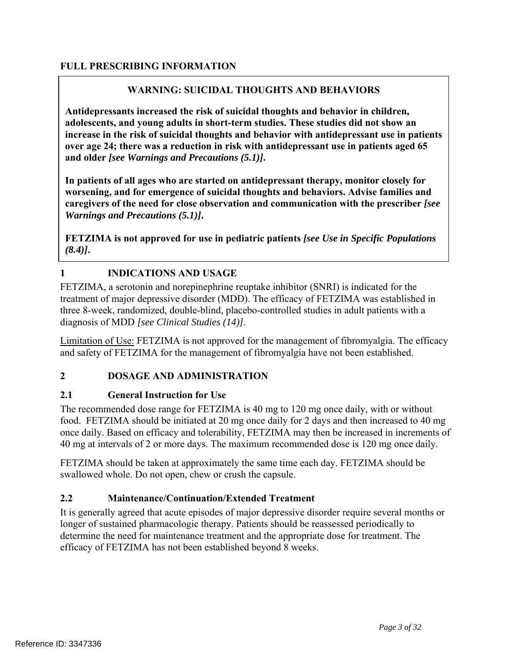### **FULL PRESCRIBING INFORMATION**

# **WARNING: SUICIDAL THOUGHTS AND BEHAVIORS**

**Antidepressants increased the risk of suicidal thoughts and behavior in children, adolescents, and young adults in short-term studies. These studies did not show an increase in the risk of suicidal thoughts and behavior with antidepressant use in patients over age 24; there was a reduction in risk with antidepressant use in patients aged 65 and older** *[see Warnings and Precautions (5.1)]***.** 

**In patients of all ages who are started on antidepressant therapy, monitor closely for worsening, and for emergence of suicidal thoughts and behaviors. Advise families and caregivers of the need for close observation and communication with the prescriber** *[see Warnings and Precautions (5.1)]***.** 

**FETZIMA is not approved for use in pediatric patients** *[see Use in Specific Populations (8.4)]***.** 

# **1 INDICATIONS AND USAGE**

FETZIMA, a serotonin and norepinephrine reuptake inhibitor (SNRI) is indicated for the treatment of major depressive disorder (MDD). The efficacy of FETZIMA was established in three 8-week, randomized, double-blind, placebo-controlled studies in adult patients with a diagnosis of MDD *[see Clinical Studies (14)]*.

Limitation of Use: FETZIMA is not approved for the management of fibromyalgia. The efficacy and safety of FETZIMA for the management of fibromyalgia have not been established.

### **2 DOSAGE AND ADMINISTRATION**

### **2.1 General Instruction for Use**

The recommended dose range for FETZIMA is 40 mg to 120 mg once daily, with or without food. FETZIMA should be initiated at 20 mg once daily for 2 days and then increased to 40 mg once daily. Based on efficacy and tolerability, FETZIMA may then be increased in increments of 40 mg at intervals of 2 or more days. The maximum recommended dose is 120 mg once daily.

FETZIMA should be taken at approximately the same time each day. FETZIMA should be swallowed whole. Do not open, chew or crush the capsule.

### **2.2 Maintenance/Continuation/Extended Treatment**

It is generally agreed that acute episodes of major depressive disorder require several months or longer of sustained pharmacologic therapy. Patients should be reassessed periodically to determine the need for maintenance treatment and the appropriate dose for treatment. The efficacy of FETZIMA has not been established beyond 8 weeks.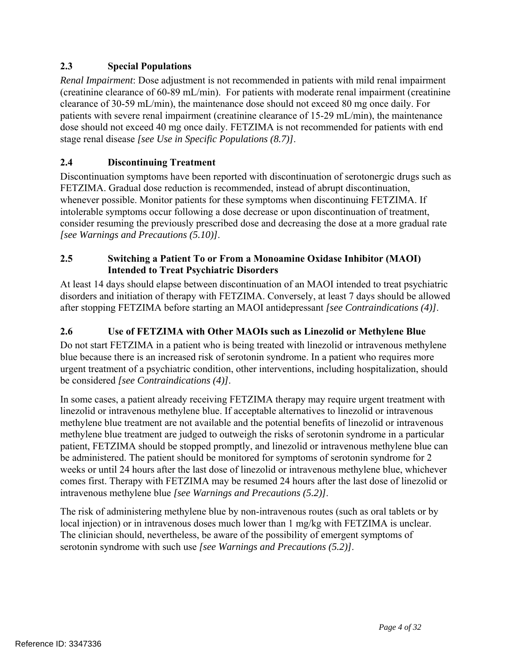# **2.3 Special Populations**

*Renal Impairment*: Dose adjustment is not recommended in patients with mild renal impairment (creatinine clearance of 60-89 mL/min). For patients with moderate renal impairment (creatinine clearance of 30-59 mL/min), the maintenance dose should not exceed 80 mg once daily. For patients with severe renal impairment (creatinine clearance of 15-29 mL/min), the maintenance dose should not exceed 40 mg once daily. FETZIMA is not recommended for patients with end stage renal disease *[see Use in Specific Populations (8.7)]*.

# **2.4 Discontinuing Treatment**

Discontinuation symptoms have been reported with discontinuation of serotonergic drugs such as FETZIMA. Gradual dose reduction is recommended, instead of abrupt discontinuation, whenever possible. Monitor patients for these symptoms when discontinuing FETZIMA. If intolerable symptoms occur following a dose decrease or upon discontinuation of treatment, consider resuming the previously prescribed dose and decreasing the dose at a more gradual rate *[see Warnings and Precautions (5.10)]*.

### **2.5 Switching a Patient To or From a Monoamine Oxidase Inhibitor (MAOI) Intended to Treat Psychiatric Disorders**

At least 14 days should elapse between discontinuation of an MAOI intended to treat psychiatric disorders and initiation of therapy with FETZIMA. Conversely, at least 7 days should be allowed after stopping FETZIMA before starting an MAOI antidepressant *[see Contraindications (4)]*.

# **2.6 Use of FETZIMA with Other MAOIs such as Linezolid or Methylene Blue**

Do not start FETZIMA in a patient who is being treated with linezolid or intravenous methylene blue because there is an increased risk of serotonin syndrome. In a patient who requires more urgent treatment of a psychiatric condition, other interventions, including hospitalization, should be considered *[see Contraindications (4)]*.

In some cases, a patient already receiving FETZIMA therapy may require urgent treatment with linezolid or intravenous methylene blue. If acceptable alternatives to linezolid or intravenous methylene blue treatment are not available and the potential benefits of linezolid or intravenous methylene blue treatment are judged to outweigh the risks of serotonin syndrome in a particular patient, FETZIMA should be stopped promptly, and linezolid or intravenous methylene blue can be administered. The patient should be monitored for symptoms of serotonin syndrome for 2 weeks or until 24 hours after the last dose of linezolid or intravenous methylene blue, whichever comes first. Therapy with FETZIMA may be resumed 24 hours after the last dose of linezolid or intravenous methylene blue *[see Warnings and Precautions (5.2)]*.

The risk of administering methylene blue by non-intravenous routes (such as oral tablets or by local injection) or in intravenous doses much lower than 1 mg/kg with FETZIMA is unclear. The clinician should, nevertheless, be aware of the possibility of emergent symptoms of serotonin syndrome with such use *[see Warnings and Precautions (5.2)]*.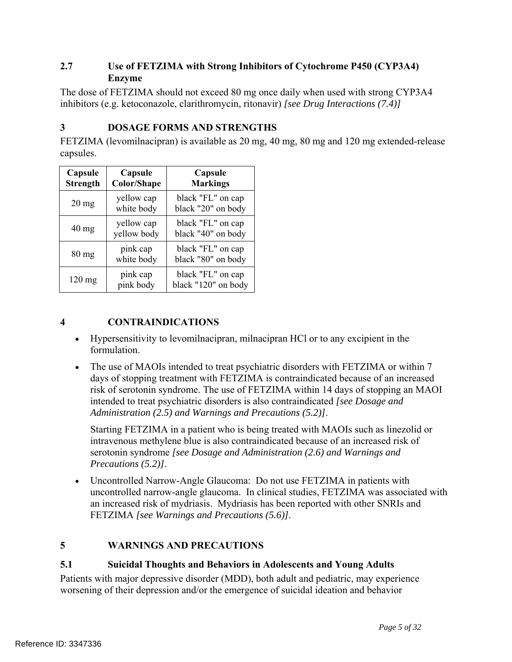# **2.7 Use of FETZIMA with Strong Inhibitors of Cytochrome P450 (CYP3A4) Enzyme**

The dose of FETZIMA should not exceed 80 mg once daily when used with strong CYP3A4 inhibitors (e.g. ketoconazole, clarithromycin, ritonavir) *[see Drug Interactions (7.4)]* 

# **3 DOSAGE FORMS AND STRENGTHS**

FETZIMA (levomilnacipran) is available as 20 mg, 40 mg, 80 mg and 120 mg extended-release capsules.

| Capsule<br><b>Strength</b> | Capsule<br>Color/Shape    | Capsule<br><b>Markings</b>               |
|----------------------------|---------------------------|------------------------------------------|
| $20 \text{ mg}$            | yellow cap<br>white body  | black "FL" on cap<br>black "20" on body  |
| $40 \text{ mg}$            | yellow cap<br>yellow body | black "FL" on cap<br>black "40" on body  |
| $80 \text{ mg}$            | pink cap<br>white body    | black "FL" on cap<br>black "80" on body  |
| $120 \text{ mg}$           | pink cap<br>pink body     | black "FL" on cap<br>black "120" on body |

# **4 CONTRAINDICATIONS**

- Hypersensitivity to levomilnacipran, milnacipran HCl or to any excipient in the formulation.
- The use of MAOIs intended to treat psychiatric disorders with FETZIMA or within 7 days of stopping treatment with FETZIMA is contraindicated because of an increased risk of serotonin syndrome. The use of FETZIMA within 14 days of stopping an MAOI intended to treat psychiatric disorders is also contraindicated *[see Dosage and Administration (2.5) and Warnings and Precautions (5.2)]*.

Starting FETZIMA in a patient who is being treated with MAOIs such as linezolid or intravenous methylene blue is also contraindicated because of an increased risk of serotonin syndrome *[see Dosage and Administration (2.6) and Warnings and Precautions (5.2)]*.

 Uncontrolled Narrow-Angle Glaucoma: Do not use FETZIMA in patients with uncontrolled narrow-angle glaucoma. In clinical studies, FETZIMA was associated with an increased risk of mydriasis. Mydriasis has been reported with other SNRIs and FETZIMA *[see Warnings and Precautions (5.6)]*.

# **5 WARNINGS AND PRECAUTIONS**

# **5.1 Suicidal Thoughts and Behaviors in Adolescents and Young Adults**

Patients with major depressive disorder (MDD), both adult and pediatric, may experience worsening of their depression and/or the emergence of suicidal ideation and behavior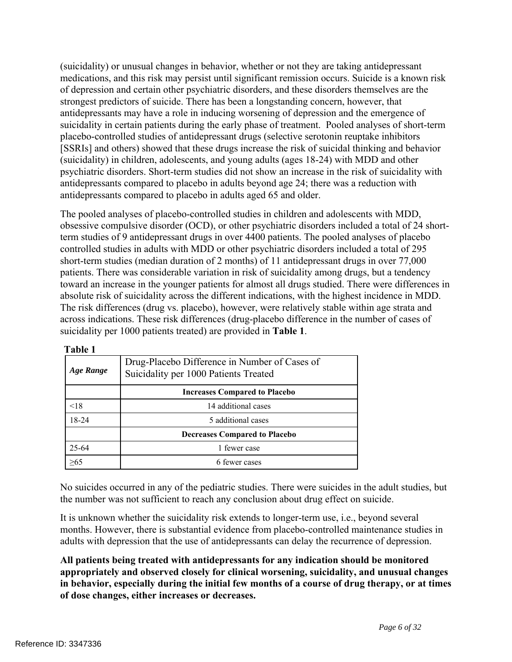(suicidality) or unusual changes in behavior, whether or not they are taking antidepressant medications, and this risk may persist until significant remission occurs. Suicide is a known risk of depression and certain other psychiatric disorders, and these disorders themselves are the strongest predictors of suicide. There has been a longstanding concern, however, that antidepressants may have a role in inducing worsening of depression and the emergence of suicidality in certain patients during the early phase of treatment. Pooled analyses of short-term placebo-controlled studies of antidepressant drugs (selective serotonin reuptake inhibitors [SSRIs] and others) showed that these drugs increase the risk of suicidal thinking and behavior (suicidality) in children, adolescents, and young adults (ages 18-24) with MDD and other psychiatric disorders. Short-term studies did not show an increase in the risk of suicidality with antidepressants compared to placebo in adults beyond age 24; there was a reduction with antidepressants compared to placebo in adults aged 65 and older.

The pooled analyses of placebo-controlled studies in children and adolescents with MDD, obsessive compulsive disorder (OCD), or other psychiatric disorders included a total of 24 shortterm studies of 9 antidepressant drugs in over 4400 patients. The pooled analyses of placebo controlled studies in adults with MDD or other psychiatric disorders included a total of 295 short-term studies (median duration of 2 months) of 11 antidepressant drugs in over 77,000 patients. There was considerable variation in risk of suicidality among drugs, but a tendency toward an increase in the younger patients for almost all drugs studied. There were differences in absolute risk of suicidality across the different indications, with the highest incidence in MDD. The risk differences (drug vs. placebo), however, were relatively stable within age strata and across indications. These risk differences (drug-placebo difference in the number of cases of suicidality per 1000 patients treated) are provided in **Table 1**.

| <b>Age Range</b> | Drug-Placebo Difference in Number of Cases of<br>Suicidality per 1000 Patients Treated |  |  |  |
|------------------|----------------------------------------------------------------------------------------|--|--|--|
|                  | <b>Increases Compared to Placebo</b>                                                   |  |  |  |
| < 18             | 14 additional cases                                                                    |  |  |  |
| 18-24            | 5 additional cases                                                                     |  |  |  |
|                  | <b>Decreases Compared to Placebo</b>                                                   |  |  |  |
| $25 - 64$        | 1 fewer case                                                                           |  |  |  |
| $>65$            | 6 fewer cases                                                                          |  |  |  |

**Table 1** 

No suicides occurred in any of the pediatric studies. There were suicides in the adult studies, but the number was not sufficient to reach any conclusion about drug effect on suicide.

It is unknown whether the suicidality risk extends to longer-term use, i.e., beyond several months. However, there is substantial evidence from placebo-controlled maintenance studies in adults with depression that the use of antidepressants can delay the recurrence of depression.

**All patients being treated with antidepressants for any indication should be monitored appropriately and observed closely for clinical worsening, suicidality, and unusual changes in behavior, especially during the initial few months of a course of drug therapy, or at times of dose changes, either increases or decreases.**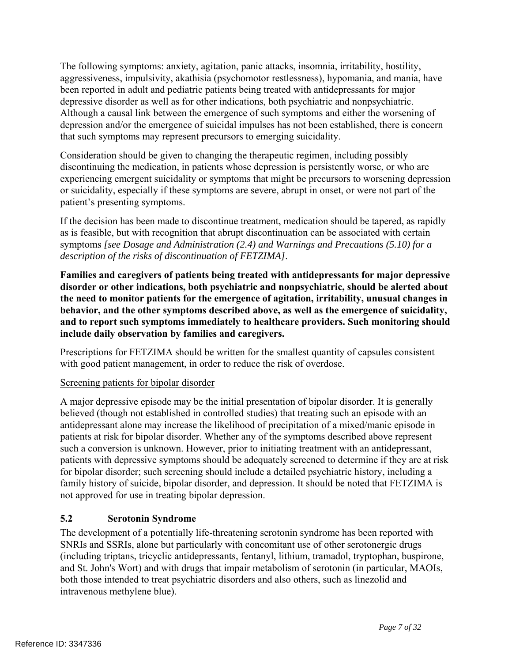The following symptoms: anxiety, agitation, panic attacks, insomnia, irritability, hostility, aggressiveness, impulsivity, akathisia (psychomotor restlessness), hypomania, and mania, have been reported in adult and pediatric patients being treated with antidepressants for major depressive disorder as well as for other indications, both psychiatric and nonpsychiatric. Although a causal link between the emergence of such symptoms and either the worsening of depression and/or the emergence of suicidal impulses has not been established, there is concern that such symptoms may represent precursors to emerging suicidality.

Consideration should be given to changing the therapeutic regimen, including possibly discontinuing the medication, in patients whose depression is persistently worse, or who are experiencing emergent suicidality or symptoms that might be precursors to worsening depression or suicidality, especially if these symptoms are severe, abrupt in onset, or were not part of the patient's presenting symptoms.

If the decision has been made to discontinue treatment, medication should be tapered, as rapidly as is feasible, but with recognition that abrupt discontinuation can be associated with certain symptoms *[see Dosage and Administration (2.4) and Warnings and Precautions (5.10) for a description of the risks of discontinuation of FETZIMA]*.

**Families and caregivers of patients being treated with antidepressants for major depressive disorder or other indications, both psychiatric and nonpsychiatric, should be alerted about the need to monitor patients for the emergence of agitation, irritability, unusual changes in behavior, and the other symptoms described above, as well as the emergence of suicidality, and to report such symptoms immediately to healthcare providers. Such monitoring should include daily observation by families and caregivers.** 

Prescriptions for FETZIMA should be written for the smallest quantity of capsules consistent with good patient management, in order to reduce the risk of overdose.

### Screening patients for bipolar disorder

A major depressive episode may be the initial presentation of bipolar disorder. It is generally believed (though not established in controlled studies) that treating such an episode with an antidepressant alone may increase the likelihood of precipitation of a mixed/manic episode in patients at risk for bipolar disorder. Whether any of the symptoms described above represent such a conversion is unknown. However, prior to initiating treatment with an antidepressant, patients with depressive symptoms should be adequately screened to determine if they are at risk for bipolar disorder; such screening should include a detailed psychiatric history, including a family history of suicide, bipolar disorder, and depression. It should be noted that FETZIMA is not approved for use in treating bipolar depression.

# **5.2 Serotonin Syndrome**

The development of a potentially life-threatening serotonin syndrome has been reported with SNRIs and SSRIs, alone but particularly with concomitant use of other serotonergic drugs (including triptans, tricyclic antidepressants, fentanyl, lithium, tramadol, tryptophan, buspirone, and St. John's Wort) and with drugs that impair metabolism of serotonin (in particular, MAOIs, both those intended to treat psychiatric disorders and also others, such as linezolid and intravenous methylene blue).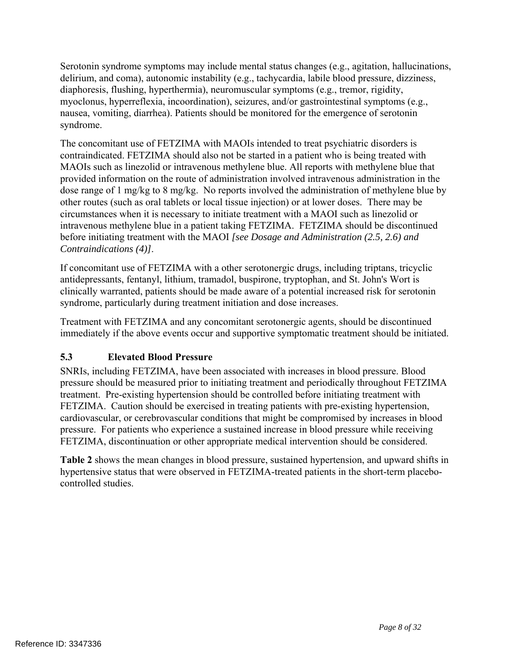Serotonin syndrome symptoms may include mental status changes (e.g., agitation, hallucinations, delirium, and coma), autonomic instability (e.g., tachycardia, labile blood pressure, dizziness, diaphoresis, flushing, hyperthermia), neuromuscular symptoms (e.g., tremor, rigidity, myoclonus, hyperreflexia, incoordination), seizures, and/or gastrointestinal symptoms (e.g., nausea, vomiting, diarrhea). Patients should be monitored for the emergence of serotonin syndrome.

The concomitant use of FETZIMA with MAOIs intended to treat psychiatric disorders is contraindicated. FETZIMA should also not be started in a patient who is being treated with MAOIs such as linezolid or intravenous methylene blue. All reports with methylene blue that provided information on the route of administration involved intravenous administration in the dose range of 1 mg/kg to 8 mg/kg. No reports involved the administration of methylene blue by other routes (such as oral tablets or local tissue injection) or at lower doses. There may be circumstances when it is necessary to initiate treatment with a MAOI such as linezolid or intravenous methylene blue in a patient taking FETZIMA. FETZIMA should be discontinued before initiating treatment with the MAOI *[see Dosage and Administration (2.5, 2.6) and Contraindications (4)]*.

If concomitant use of FETZIMA with a other serotonergic drugs, including triptans, tricyclic antidepressants, fentanyl, lithium, tramadol, buspirone, tryptophan, and St. John's Wort is clinically warranted, patients should be made aware of a potential increased risk for serotonin syndrome, particularly during treatment initiation and dose increases.

Treatment with FETZIMA and any concomitant serotonergic agents, should be discontinued immediately if the above events occur and supportive symptomatic treatment should be initiated.

# **5.3 Elevated Blood Pressure**

SNRIs, including FETZIMA, have been associated with increases in blood pressure. Blood pressure should be measured prior to initiating treatment and periodically throughout FETZIMA treatment. Pre-existing hypertension should be controlled before initiating treatment with FETZIMA. Caution should be exercised in treating patients with pre-existing hypertension, cardiovascular, or cerebrovascular conditions that might be compromised by increases in blood pressure. For patients who experience a sustained increase in blood pressure while receiving FETZIMA, discontinuation or other appropriate medical intervention should be considered.

**Table 2** shows the mean changes in blood pressure, sustained hypertension, and upward shifts in hypertensive status that were observed in FETZIMA-treated patients in the short-term placebocontrolled studies.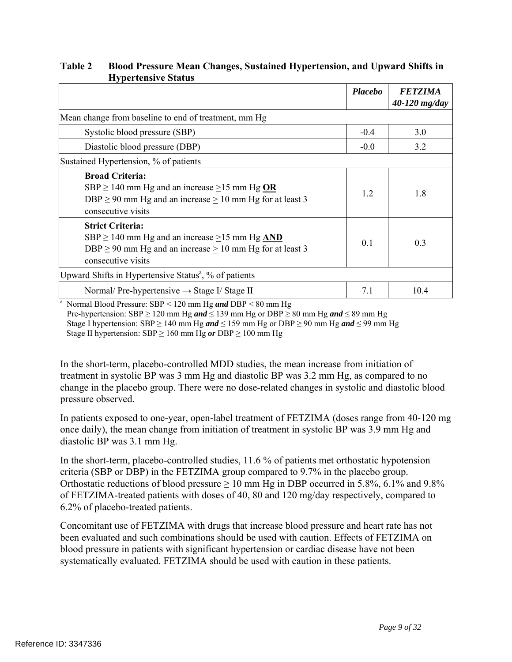#### **Table 2 Blood Pressure Mean Changes, Sustained Hypertension, and Upward Shifts in Hypertensive Status**

|                                                                                                                                                                            | <b>Placebo</b> | <b>FETZIMA</b><br>$40-120$ mg/day |
|----------------------------------------------------------------------------------------------------------------------------------------------------------------------------|----------------|-----------------------------------|
| Mean change from baseline to end of treatment, mm Hg                                                                                                                       |                |                                   |
| Systolic blood pressure (SBP)                                                                                                                                              | $-0.4$         | 3.0                               |
| Diastolic blood pressure (DBP)                                                                                                                                             | $-0.0$         | 3.2                               |
| Sustained Hypertension, % of patients                                                                                                                                      |                |                                   |
| <b>Broad Criteria:</b><br>$SBP \ge 140$ mm Hg and an increase >15 mm Hg OR<br>DBP $\geq$ 90 mm Hg and an increase $\geq$ 10 mm Hg for at least 3<br>consecutive visits     | 1.2            | 1.8                               |
| <b>Strict Criteria:</b><br>$SBP \ge 140$ mm Hg and an increase $\ge 15$ mm Hg AND<br>DBP $\geq$ 90 mm Hg and an increase $>$ 10 mm Hg for at least 3<br>consecutive visits | 0.1            | 0.3                               |
| Upward Shifts in Hypertensive Status <sup>a</sup> , % of patients                                                                                                          |                |                                   |
| Normal/ Pre-hypertensive $\rightarrow$ Stage I/ Stage II                                                                                                                   | 7.1            | 10.4                              |

a Normal Blood Pressure: SBP < 120 mm Hg *and* DBP < 80 mm Hg

Pre-hypertension: SBP  $\geq$  120 mm Hg *and*  $\leq$  139 mm Hg or DBP  $\geq$  80 mm Hg *and*  $\leq$  89 mm Hg Stage I hypertension: SBP ≥ 140 mm Hg *and* ≤ 159 mm Hg or DBP ≥ 90 mm Hg *and* ≤ 99 mm Hg Stage II hypertension:  $SBP \ge 160$  mm Hg *or* DBP  $\ge 100$  mm Hg

In the short-term, placebo-controlled MDD studies, the mean increase from initiation of treatment in systolic BP was 3 mm Hg and diastolic BP was 3.2 mm Hg, as compared to no change in the placebo group. There were no dose-related changes in systolic and diastolic blood pressure observed.

In patients exposed to one-year, open-label treatment of FETZIMA (doses range from 40-120 mg once daily), the mean change from initiation of treatment in systolic BP was 3.9 mm Hg and diastolic BP was 3.1 mm Hg.

In the short-term, placebo-controlled studies, 11.6 % of patients met orthostatic hypotension criteria (SBP or DBP) in the FETZIMA group compared to 9.7% in the placebo group. Orthostatic reductions of blood pressure  $\geq 10$  mm Hg in DBP occurred in 5.8%, 6.1% and 9.8% of FETZIMA-treated patients with doses of 40, 80 and 120 mg/day respectively, compared to 6.2% of placebo-treated patients.

Concomitant use of FETZIMA with drugs that increase blood pressure and heart rate has not been evaluated and such combinations should be used with caution. Effects of FETZIMA on blood pressure in patients with significant hypertension or cardiac disease have not been systematically evaluated. FETZIMA should be used with caution in these patients.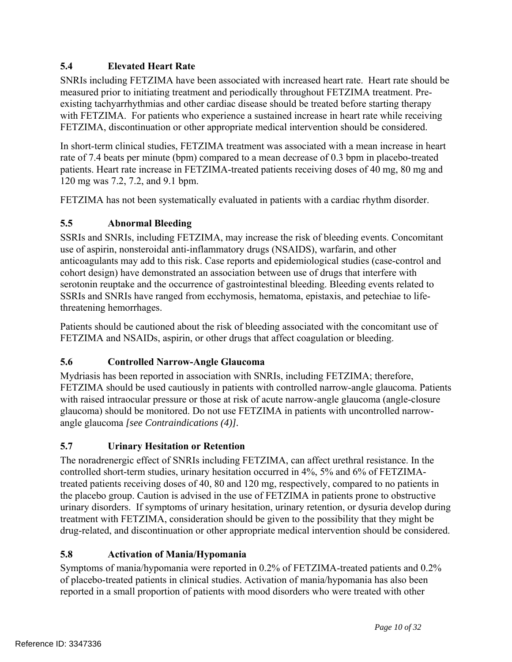# **5.4 Elevated Heart Rate**

SNRIs including FETZIMA have been associated with increased heart rate. Heart rate should be measured prior to initiating treatment and periodically throughout FETZIMA treatment. Preexisting tachyarrhythmias and other cardiac disease should be treated before starting therapy with FETZIMA. For patients who experience a sustained increase in heart rate while receiving FETZIMA, discontinuation or other appropriate medical intervention should be considered.

120 mg was 7.2, 7.2, and 9.1 bpm. In short-term clinical studies, FETZIMA treatment was associated with a mean increase in heart rate of 7.4 beats per minute (bpm) compared to a mean decrease of 0.3 bpm in placebo-treated patients. Heart rate increase in FETZIMA-treated patients receiving doses of 40 mg, 80 mg and

FETZIMA has not been systematically evaluated in patients with a cardiac rhythm disorder.

# **5.5 Abnormal Bleeding**

SSRIs and SNRIs, including FETZIMA, may increase the risk of bleeding events. Concomitant use of aspirin, nonsteroidal anti-inflammatory drugs (NSAIDS), warfarin, and other anticoagulants may add to this risk. Case reports and epidemiological studies (case-control and cohort design) have demonstrated an association between use of drugs that interfere with serotonin reuptake and the occurrence of gastrointestinal bleeding. Bleeding events related to SSRIs and SNRIs have ranged from ecchymosis, hematoma, epistaxis, and petechiae to lifethreatening hemorrhages.

Patients should be cautioned about the risk of bleeding associated with the concomitant use of FETZIMA and NSAIDs, aspirin, or other drugs that affect coagulation or bleeding.

# **5.6 Controlled Narrow-Angle Glaucoma**

Mydriasis has been reported in association with SNRIs, including FETZIMA; therefore, FETZIMA should be used cautiously in patients with controlled narrow-angle glaucoma. Patients with raised intraocular pressure or those at risk of acute narrow-angle glaucoma (angle-closure glaucoma) should be monitored. Do not use FETZIMA in patients with uncontrolled narrowangle glaucoma *[see Contraindications (4)].* 

# **5.7 Urinary Hesitation or Retention**

The noradrenergic effect of SNRIs including FETZIMA, can affect urethral resistance. In the controlled short-term studies, urinary hesitation occurred in 4%, 5% and 6% of FETZIMAtreated patients receiving doses of 40, 80 and 120 mg, respectively, compared to no patients in the placebo group. Caution is advised in the use of FETZIMA in patients prone to obstructive urinary disorders. If symptoms of urinary hesitation, urinary retention, or dysuria develop during treatment with FETZIMA, consideration should be given to the possibility that they might be drug-related, and discontinuation or other appropriate medical intervention should be considered.

# **5.8 Activation of Mania/Hypomania**

Symptoms of mania/hypomania were reported in 0.2% of FETZIMA-treated patients and 0.2% of placebo-treated patients in clinical studies. Activation of mania/hypomania has also been reported in a small proportion of patients with mood disorders who were treated with other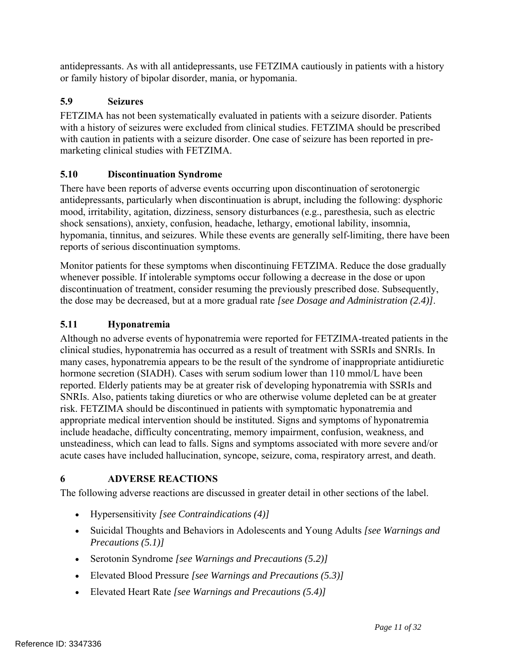antidepressants. As with all antidepressants, use FETZIMA cautiously in patients with a history or family history of bipolar disorder, mania, or hypomania.

# **5.9 Seizures**

FETZIMA has not been systematically evaluated in patients with a seizure disorder. Patients with a history of seizures were excluded from clinical studies. FETZIMA should be prescribed with caution in patients with a seizure disorder. One case of seizure has been reported in premarketing clinical studies with FETZIMA.

# **5.10 Discontinuation Syndrome**

There have been reports of adverse events occurring upon discontinuation of serotonergic antidepressants, particularly when discontinuation is abrupt, including the following: dysphoric mood, irritability, agitation, dizziness, sensory disturbances (e.g., paresthesia, such as electric shock sensations), anxiety, confusion, headache, lethargy, emotional lability, insomnia, hypomania, tinnitus, and seizures. While these events are generally self-limiting, there have been reports of serious discontinuation symptoms.

Monitor patients for these symptoms when discontinuing FETZIMA. Reduce the dose gradually whenever possible. If intolerable symptoms occur following a decrease in the dose or upon discontinuation of treatment, consider resuming the previously prescribed dose. Subsequently, the dose may be decreased, but at a more gradual rate *[see Dosage and Administration (2.4)]*.

# **5.11 Hyponatremia**

Although no adverse events of hyponatremia were reported for FETZIMA-treated patients in the clinical studies, hyponatremia has occurred as a result of treatment with SSRIs and SNRIs. In many cases, hyponatremia appears to be the result of the syndrome of inappropriate antidiuretic hormone secretion (SIADH). Cases with serum sodium lower than 110 mmol/L have been reported. Elderly patients may be at greater risk of developing hyponatremia with SSRIs and SNRIs. Also, patients taking diuretics or who are otherwise volume depleted can be at greater risk. FETZIMA should be discontinued in patients with symptomatic hyponatremia and appropriate medical intervention should be instituted. Signs and symptoms of hyponatremia include headache, difficulty concentrating, memory impairment, confusion, weakness, and unsteadiness, which can lead to falls. Signs and symptoms associated with more severe and/or acute cases have included hallucination, syncope, seizure, coma, respiratory arrest, and death.

# **6 ADVERSE REACTIONS**

The following adverse reactions are discussed in greater detail in other sections of the label.

- Hypersensitivity *[see Contraindications (4)]*
- Suicidal Thoughts and Behaviors in Adolescents and Young Adults *[see Warnings and Precautions (5.1)]*
- Serotonin Syndrome *[see Warnings and Precautions (5.2)]*
- Elevated Blood Pressure *[see Warnings and Precautions (5.3)]*
- Elevated Heart Rate *[see Warnings and Precautions (5.4)]*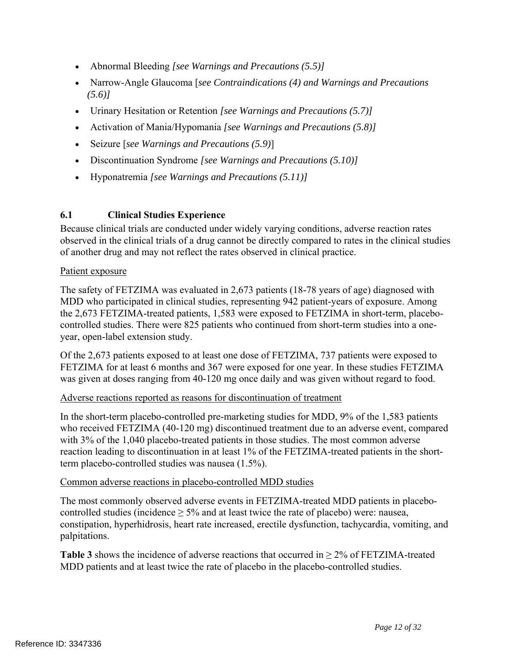- Abnormal Bleeding *[see Warnings and Precautions (5.5)]*
- *(5.6)]* Narrow-Angle Glaucoma [*see Contraindications (4) and Warnings and Precautions*
- Urinary Hesitation or Retention *[see Warnings and Precautions (5.7)]*
- Activation of Mania/Hypomania *[see Warnings and Precautions (5.8)]*
- Seizure [*see Warnings and Precautions (5.9)*]
- Discontinuation Syndrome *[see Warnings and Precautions (5.10)]*
- Hyponatremia *[see Warnings and Precautions (5.11)]*

### **6.1 Clinical Studies Experience**

 of another drug and may not reflect the rates observed in clinical practice. Because clinical trials are conducted under widely varying conditions, adverse reaction rates observed in the clinical trials of a drug cannot be directly compared to rates in the clinical studies

#### Patient exposure

The safety of FETZIMA was evaluated in 2,673 patients (18-78 years of age) diagnosed with MDD who participated in clinical studies, representing 942 patient-years of exposure. Among the 2,673 FETZIMA-treated patients, 1,583 were exposed to FETZIMA in short-term, placebocontrolled studies. There were 825 patients who continued from short-term studies into a oneyear, open-label extension study.

Of the 2,673 patients exposed to at least one dose of FETZIMA, 737 patients were exposed to FETZIMA for at least 6 months and 367 were exposed for one year. In these studies FETZIMA was given at doses ranging from 40-120 mg once daily and was given without regard to food.

#### Adverse reactions reported as reasons for discontinuation of treatment

In the short-term placebo-controlled pre-marketing studies for MDD, 9% of the 1,583 patients who received FETZIMA (40-120 mg) discontinued treatment due to an adverse event, compared with 3% of the 1,040 placebo-treated patients in those studies. The most common adverse reaction leading to discontinuation in at least 1% of the FETZIMA-treated patients in the shortterm placebo-controlled studies was nausea (1.5%).

#### Common adverse reactions in placebo-controlled MDD studies

 palpitations. The most commonly observed adverse events in FETZIMA-treated MDD patients in placebocontrolled studies (incidence  $\geq$  5% and at least twice the rate of placebo) were: nausea, constipation, hyperhidrosis, heart rate increased, erectile dysfunction, tachycardia, vomiting, and

**Table 3** shows the incidence of adverse reactions that occurred in  $\geq 2\%$  of FETZIMA-treated MDD patients and at least twice the rate of placebo in the placebo-controlled studies.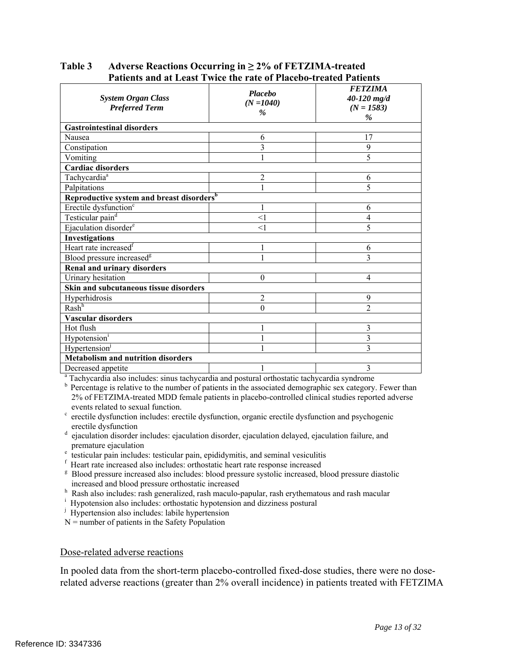| <b>System Organ Class</b><br><b>Preferred Term</b>                                                      | <b>Placebo</b><br>$(N = 1040)$<br>$\%$ | <b>FETZIMA</b><br>$40 - 120$ mg/d<br>$(N = 1583)$<br>% |  |  |
|---------------------------------------------------------------------------------------------------------|----------------------------------------|--------------------------------------------------------|--|--|
| <b>Gastrointestinal disorders</b>                                                                       |                                        |                                                        |  |  |
| Nausea                                                                                                  | 6                                      | 17                                                     |  |  |
| Constipation                                                                                            | 3                                      | 9                                                      |  |  |
| Vomiting                                                                                                | 1                                      | 5                                                      |  |  |
| <b>Cardiac disorders</b>                                                                                |                                        |                                                        |  |  |
| Tachycardia <sup>a</sup>                                                                                | 2                                      | 6                                                      |  |  |
| Palpitations                                                                                            |                                        | 5                                                      |  |  |
| Reproductive system and breast disorders <sup>b</sup>                                                   |                                        |                                                        |  |  |
| Erectile dysfunction <sup>c</sup>                                                                       |                                        | 6                                                      |  |  |
| Testicular pain <sup>d</sup>                                                                            | <1                                     | 4                                                      |  |  |
| Ejaculation disorder <sup>e</sup>                                                                       | $<$ 1                                  | 5                                                      |  |  |
| <b>Investigations</b>                                                                                   |                                        |                                                        |  |  |
| Heart rate increased <sup>f</sup>                                                                       |                                        | 6                                                      |  |  |
| Blood pressure increased <sup>g</sup>                                                                   |                                        | 3                                                      |  |  |
| <b>Renal and urinary disorders</b>                                                                      |                                        |                                                        |  |  |
| Urinary hesitation                                                                                      | $\theta$                               | 4                                                      |  |  |
| Skin and subcutaneous tissue disorders                                                                  |                                        |                                                        |  |  |
| Hyperhidrosis                                                                                           | $\overline{2}$                         | 9                                                      |  |  |
| Rash <sup>h</sup>                                                                                       | $\theta$                               | $\overline{2}$                                         |  |  |
| <b>Vascular disorders</b>                                                                               |                                        |                                                        |  |  |
| Hot flush                                                                                               |                                        | 3                                                      |  |  |
| Hypotension <sup>1</sup>                                                                                |                                        | 3                                                      |  |  |
| Hypertension <sup>1</sup>                                                                               |                                        | 3                                                      |  |  |
| <b>Metabolism and nutrition disorders</b>                                                               |                                        |                                                        |  |  |
| Decreased appetite                                                                                      |                                        | 3                                                      |  |  |
| <sup>a</sup> Tachycardia also includes: sinus tachycardia and postural orthostatic tachycardia syndrome |                                        |                                                        |  |  |

#### **Table 3 Adverse Reactions Occurring in ≥ 2% of FETZIMA-treated Patients and at Least Twice the rate of Placebo-treated Patients**

 $\mu$ <sup>b</sup> Percentage is relative to the number of patients in the associated demographic sex category. Fewer than 2% of FETZIMA-treated MDD female patients in placebo-controlled clinical studies reported adverse

- events related to sexual function.<br> $\epsilon$  erectile dysfunction includes: erectile dysfunction, organic erectile dysfunction and psychogenic erectile dysfunction
- <sup>d</sup> ejaculation disorder includes: ejaculation disorder, ejaculation delayed, ejaculation failure, and premature ejaculation
- e testicular pain includes: testicular pain, epididymitis, and seminal vesiculitis<br>
f Heart rate increased also includes: orthostatic heart rate response increased<br>
g Plood pressure increased also includes: blood pressure
- 
- Blood pressure increased also includes: blood pressure systolic increased, blood pressure diastolic
- increased and blood pressure orthostatic increased<br>h Rash also includes: rash generalized, rash maculo-<sup>h</sup> Rash also includes: rash generalized, rash maculo-papular, rash erythematous and rash macular i Hypotension also includes: orthostatic hypotension and dizziness postural
- Exportancies also includes: orthostatic hypotension and dizziness postural<br>Unautorian also includes: labile hypotension
- Hypertension also includes: labile hypertension
- $N =$  number of patients in the Safety Population

#### Dose-related adverse reactions

In pooled data from the short-term placebo-controlled fixed-dose studies, there were no doserelated adverse reactions (greater than 2% overall incidence) in patients treated with FETZIMA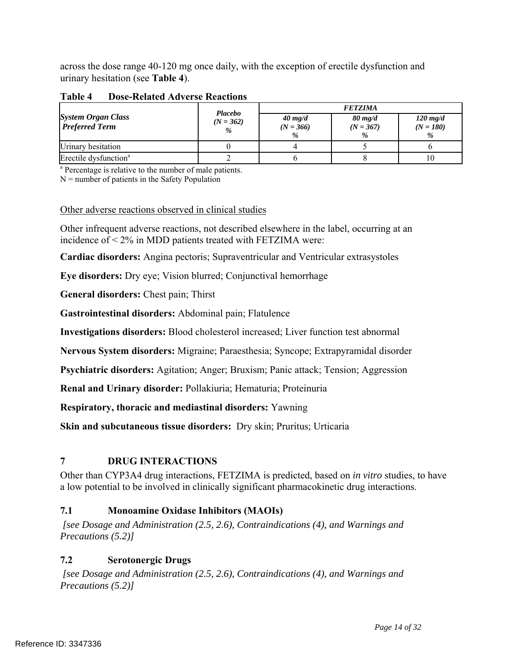across the dose range 40-120 mg once daily, with the exception of erectile dysfunction and urinary hesitation (see **Table 4**).

|                                                                     | Placebo<br>$(N = 362)$<br>$\%$ | <b>FETZIMA</b>                        |                                       |                                        |
|---------------------------------------------------------------------|--------------------------------|---------------------------------------|---------------------------------------|----------------------------------------|
| <b>System Organ Class</b><br><b>Preferred Term</b>                  |                                | $40 \text{ mg/d}$<br>$(N = 366)$<br>% | $80 \text{ mg}/d$<br>$(N = 367)$<br>% | $120 \text{ mg/d}$<br>$(N = 180)$<br>% |
| Urinary hesitation                                                  |                                |                                       |                                       |                                        |
| Erectile dysfunction <sup>a</sup>                                   |                                |                                       |                                       |                                        |
| <sup>a</sup> Percentage is relative to the number of male patients. |                                |                                       |                                       |                                        |

### **Table 4 Dose-Related Adverse Reactions**

 $N =$  number of patients in the Safety Population

### Other adverse reactions observed in clinical studies

Other infrequent adverse reactions, not described elsewhere in the label, occurring at an incidence of < 2% in MDD patients treated with FETZIMA were:

**Cardiac disorders:** Angina pectoris; Supraventricular and Ventricular extrasystoles

**Eye disorders:** Dry eye; Vision blurred; Conjunctival hemorrhage

**General disorders:** Chest pain; Thirst

**Gastrointestinal disorders:** Abdominal pain; Flatulence

**Investigations disorders:** Blood cholesterol increased; Liver function test abnormal

**Nervous System disorders:** Migraine; Paraesthesia; Syncope; Extrapyramidal disorder

**Psychiatric disorders:** Agitation; Anger; Bruxism; Panic attack; Tension; Aggression

**Renal and Urinary disorder:** Pollakiuria; Hematuria; Proteinuria

**Respiratory, thoracic and mediastinal disorders:** Yawning

**Skin and subcutaneous tissue disorders:** Dry skin; Pruritus; Urticaria

# **7 DRUG INTERACTIONS**

Other than CYP3A4 drug interactions, FETZIMA is predicted, based on *in vitro* studies, to have a low potential to be involved in clinically significant pharmacokinetic drug interactions.

# **7.1 Monoamine Oxidase Inhibitors (MAOIs)**

 *[see Dosage and Administration (2.5, 2.6), Contraindications (4), and Warnings and Precautions (5.2)]* 

# **7.2 Serotonergic Drugs**

 *[see Dosage and Administration (2.5, 2.6), Contraindications (4), and Warnings and Precautions (5.2)]*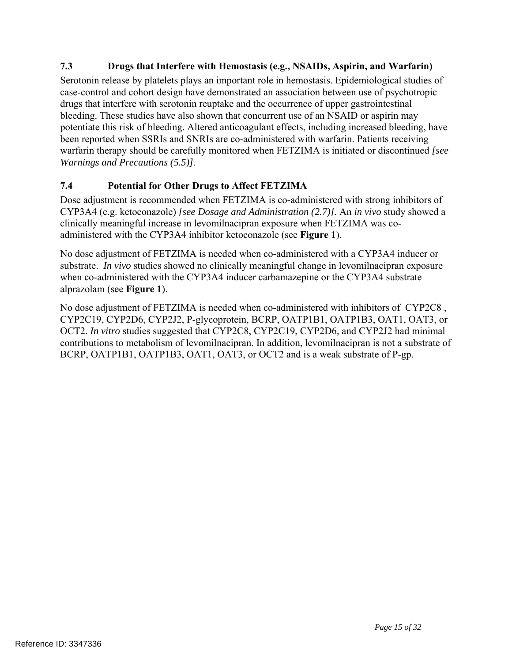# **7.3 Drugs that Interfere with Hemostasis (e.g., NSAIDs, Aspirin, and Warfarin)**

Serotonin release by platelets plays an important role in hemostasis. Epidemiological studies of case-control and cohort design have demonstrated an association between use of psychotropic drugs that interfere with serotonin reuptake and the occurrence of upper gastrointestinal bleeding. These studies have also shown that concurrent use of an NSAID or aspirin may potentiate this risk of bleeding. Altered anticoagulant effects, including increased bleeding, have been reported when SSRIs and SNRIs are co-administered with warfarin. Patients receiving warfarin therapy should be carefully monitored when FETZIMA is initiated or discontinued *[see Warnings and Precautions (5.5)]*.

# **7.4 Potential for Other Drugs to Affect FETZIMA**

Dose adjustment is recommended when FETZIMA is co-administered with strong inhibitors of CYP3A4 (e.g. ketoconazole) *[see Dosage and Administration (2.7)].* An *in vivo* study showed a clinically meaningful increase in levomilnacipran exposure when FETZIMA was coadministered with the CYP3A4 inhibitor ketoconazole (see **Figure 1**).

No dose adjustment of FETZIMA is needed when co-administered with a CYP3A4 inducer or substrate. *In vivo* studies showed no clinically meaningful change in levomilnacipran exposure when co-administered with the CYP3A4 inducer carbamazepine or the CYP3A4 substrate alprazolam (see **Figure 1**).

No dose adjustment of FETZIMA is needed when co-administered with inhibitors of CYP2C8 , CYP2C19, CYP2D6, CYP2J2, P-glycoprotein, BCRP, OATP1B1, OATP1B3, OAT1, OAT3, or OCT2. *In vitro* studies suggested that CYP2C8, CYP2C19, CYP2D6, and CYP2J2 had minimal contributions to metabolism of levomilnacipran. In addition, levomilnacipran is not a substrate of BCRP, OATP1B1, OATP1B3, OAT1, OAT3, or OCT2 and is a weak substrate of P-gp.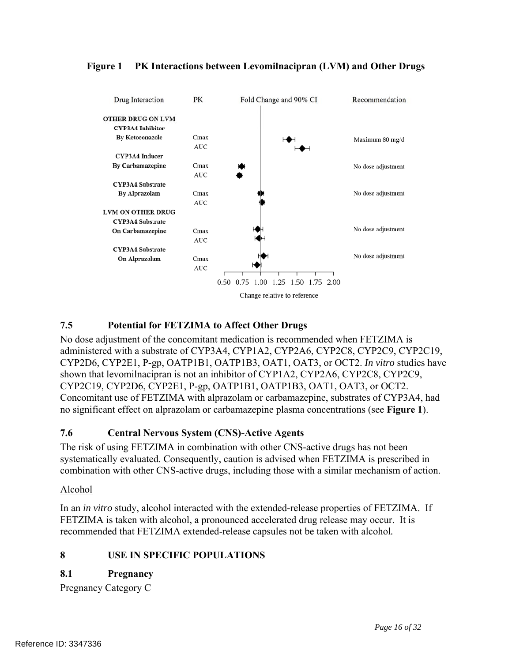



### **7.5 Potential for FETZIMA to Affect Other Drugs**

No dose adjustment of the concomitant medication is recommended when FETZIMA is administered with a substrate of CYP3A4, CYP1A2, CYP2A6, CYP2C8, CYP2C9, CYP2C19, CYP2D6, CYP2E1, P-gp, OATP1B1, OATP1B3, OAT1, OAT3, or OCT2. *In vitro* studies have shown that levomilnacipran is not an inhibitor of CYP1A2, CYP2A6, CYP2C8, CYP2C9, CYP2C19, CYP2D6, CYP2E1, P-gp, OATP1B1, OATP1B3, OAT1, OAT3, or OCT2. Concomitant use of FETZIMA with alprazolam or carbamazepine, substrates of CYP3A4, had no significant effect on alprazolam or carbamazepine plasma concentrations (see **Figure 1**).

#### **7.6 Central Nervous System (CNS)-Active Agents**

The risk of using FETZIMA in combination with other CNS-active drugs has not been systematically evaluated. Consequently, caution is advised when FETZIMA is prescribed in combination with other CNS-active drugs, including those with a similar mechanism of action.

#### Alcohol

 recommended that FETZIMA extended-release capsules not be taken with alcohol*.* In an *in vitro* study, alcohol interacted with the extended-release properties of FETZIMA. If FETZIMA is taken with alcohol, a pronounced accelerated drug release may occur. It is

### **8 USE IN SPECIFIC POPULATIONS**

### **8.1 Pregnancy**

Pregnancy Category C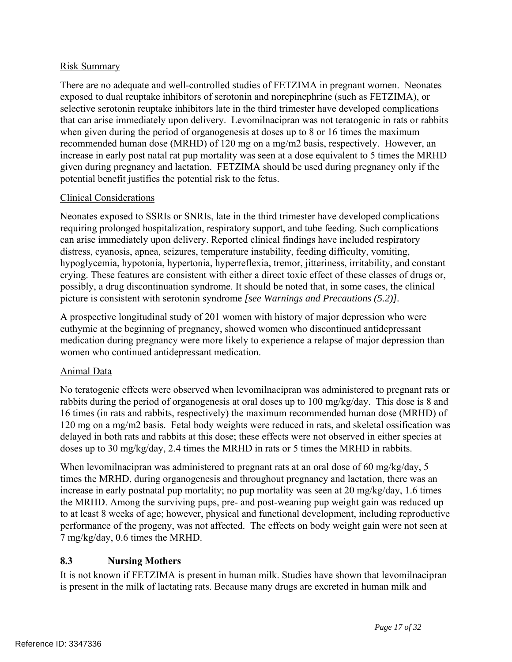#### Risk Summary

There are no adequate and well-controlled studies of FETZIMA in pregnant women. Neonates exposed to dual reuptake inhibitors of serotonin and norepinephrine (such as FETZIMA), or selective serotonin reuptake inhibitors late in the third trimester have developed complications that can arise immediately upon delivery. Levomilnacipran was not teratogenic in rats or rabbits when given during the period of organogenesis at doses up to 8 or 16 times the maximum recommended human dose (MRHD) of 120 mg on a mg/m2 basis, respectively. However, an increase in early post natal rat pup mortality was seen at a dose equivalent to 5 times the MRHD given during pregnancy and lactation. FETZIMA should be used during pregnancy only if the potential benefit justifies the potential risk to the fetus.

### Clinical Considerations

Neonates exposed to SSRIs or SNRIs, late in the third trimester have developed complications requiring prolonged hospitalization, respiratory support, and tube feeding. Such complications can arise immediately upon delivery. Reported clinical findings have included respiratory distress, cyanosis, apnea, seizures, temperature instability, feeding difficulty, vomiting, hypoglycemia, hypotonia, hypertonia, hyperreflexia, tremor, jitteriness, irritability, and constant crying. These features are consistent with either a direct toxic effect of these classes of drugs or, possibly, a drug discontinuation syndrome. It should be noted that, in some cases, the clinical picture is consistent with serotonin syndrome *[see Warnings and Precautions (5.2)].* 

A prospective longitudinal study of 201 women with history of major depression who were euthymic at the beginning of pregnancy, showed women who discontinued antidepressant medication during pregnancy were more likely to experience a relapse of major depression than women who continued antidepressant medication.

### Animal Data

No teratogenic effects were observed when levomilnacipran was administered to pregnant rats or rabbits during the period of organogenesis at oral doses up to 100 mg/kg/day. This dose is 8 and 16 times (in rats and rabbits, respectively) the maximum recommended human dose (MRHD) of 120 mg on a mg/m2 basis. Fetal body weights were reduced in rats, and skeletal ossification was delayed in both rats and rabbits at this dose; these effects were not observed in either species at doses up to 30 mg/kg/day, 2.4 times the MRHD in rats or 5 times the MRHD in rabbits.

When levomilnacipran was administered to pregnant rats at an oral dose of 60 mg/kg/day, 5 times the MRHD, during organogenesis and throughout pregnancy and lactation, there was an increase in early postnatal pup mortality; no pup mortality was seen at 20 mg/kg/day, 1.6 times the MRHD. Among the surviving pups, pre- and post-weaning pup weight gain was reduced up to at least 8 weeks of age; however, physical and functional development, including reproductive performance of the progeny, was not affected. The effects on body weight gain were not seen at 7 mg/kg/day, 0.6 times the MRHD.

### **8.3 Nursing Mothers**

It is not known if FETZIMA is present in human milk. Studies have shown that levomilnacipran is present in the milk of lactating rats. Because many drugs are excreted in human milk and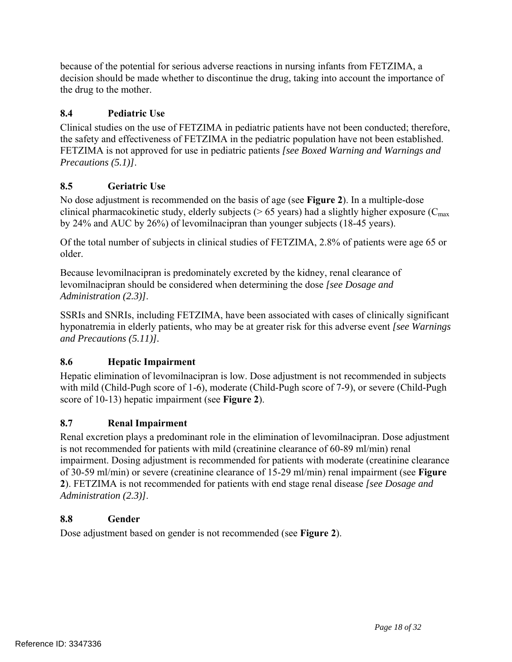because of the potential for serious adverse reactions in nursing infants from FETZIMA, a decision should be made whether to discontinue the drug, taking into account the importance of the drug to the mother.

# **8.4 Pediatric Use**

Clinical studies on the use of FETZIMA in pediatric patients have not been conducted; therefore, the safety and effectiveness of FETZIMA in the pediatric population have not been established. FETZIMA is not approved for use in pediatric patients *[see Boxed Warning and Warnings and Precautions (5.1)]*.

# **8.5 Geriatric Use**

No dose adjustment is recommended on the basis of age (see **Figure 2**). In a multiple-dose clinical pharmacokinetic study, elderly subjects ( $> 65$  years) had a slightly higher exposure ( $C_{\text{max}}$ ) by 24% and AUC by 26%) of levomilnacipran than younger subjects (18-45 years).

Of the total number of subjects in clinical studies of FETZIMA, 2.8% of patients were age 65 or older.

Because levomilnacipran is predominately excreted by the kidney, renal clearance of levomilnacipran should be considered when determining the dose *[see Dosage and Administration (2.3)]*.

 *and Precautions (5.11)].* SSRIs and SNRIs, including FETZIMA, have been associated with cases of clinically significant hyponatremia in elderly patients, who may be at greater risk for this adverse event *[see Warnings* 

# **8.6 Hepatic Impairment**

Hepatic elimination of levomilnacipran is low. Dose adjustment is not recommended in subjects with mild (Child-Pugh score of 1-6), moderate (Child-Pugh score of 7-9), or severe (Child-Pugh score of 10-13) hepatic impairment (see **Figure 2**).

# **8.7 Renal Impairment**

Renal excretion plays a predominant role in the elimination of levomilnacipran. Dose adjustment is not recommended for patients with mild (creatinine clearance of 60-89 ml/min) renal impairment. Dosing adjustment is recommended for patients with moderate (creatinine clearance of 30-59 ml/min) or severe (creatinine clearance of 15-29 ml/min) renal impairment (see **Figure 2**). FETZIMA is not recommended for patients with end stage renal disease *[see Dosage and Administration (2.3)]*.

# **8.8 Gender**

Dose adjustment based on gender is not recommended (see **Figure 2**).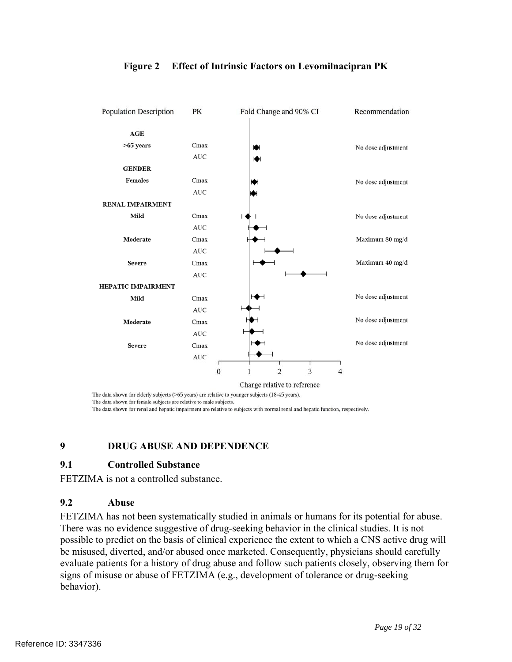

# Figure 2 Effect of Intrinsic Factors on Levomilnacipran PK

The data shown for elderly subjects (>65 years) are relative to younger subjects (18-45 years).

The data shown for female subjects are relative to male subjects.

The data shown for renal and hepatic impairment are relative to subjects with normal renal and hepatic function, respectively.

# **9 DRUG ABUSE AND DEPENDENCE**

#### **9.1 Controlled Substance**

FETZIMA is not a controlled substance.

#### **9.2 Abuse**

FETZIMA has not been systematically studied in animals or humans for its potential for abuse. There was no evidence suggestive of drug-seeking behavior in the clinical studies. It is not possible to predict on the basis of clinical experience the extent to which a CNS active drug will be misused, diverted, and/or abused once marketed. Consequently, physicians should carefully evaluate patients for a history of drug abuse and follow such patients closely, observing them for signs of misuse or abuse of FETZIMA (e.g., development of tolerance or drug-seeking behavior).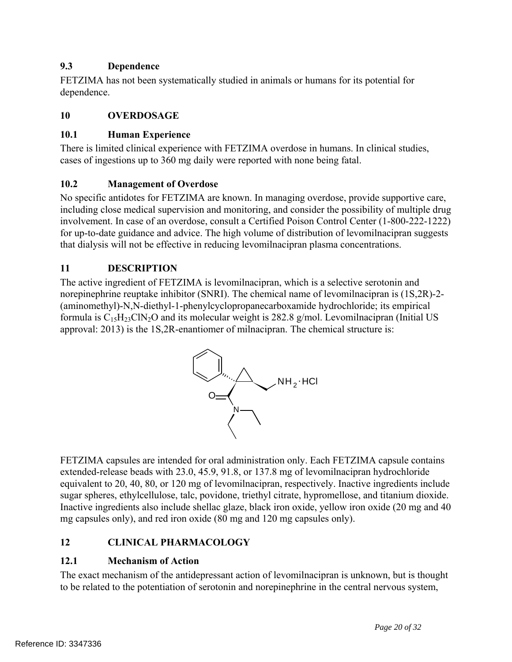# **9.3 Dependence**

FETZIMA has not been systematically studied in animals or humans for its potential for dependence.

# **10 OVERDOSAGE**

# **10.1 Human Experience**

There is limited clinical experience with FETZIMA overdose in humans. In clinical studies, cases of ingestions up to 360 mg daily were reported with none being fatal.

# **10.2 Management of Overdose**

No specific antidotes for FETZIMA are known. In managing overdose, provide supportive care, including close medical supervision and monitoring, and consider the possibility of multiple drug involvement. In case of an overdose, consult a Certified Poison Control Center (1-800-222-1222) for up-to-date guidance and advice. The high volume of distribution of levomilnacipran suggests that dialysis will not be effective in reducing levomilnacipran plasma concentrations.

# **11 DESCRIPTION**

The active ingredient of FETZIMA is levomilnacipran, which is a selective serotonin and norepinephrine reuptake inhibitor (SNRI). The chemical name of levomilnacipran is (1S,2R)-2 (aminomethyl)-N,N-diethyl-1-phenylcyclopropanecarboxamide hydrochloride; its empirical formula is  $C_{15}H_{23}CIN_2O$  and its molecular weight is 282.8 g/mol. Levomilnacipran (Initial US approval: 2013) is the 1S,2R-enantiomer of milnacipran. The chemical structure is:



FETZIMA capsules are intended for oral administration only. Each FETZIMA capsule contains extended-release beads with 23.0, 45.9, 91.8, or 137.8 mg of levomilnacipran hydrochloride equivalent to 20, 40, 80, or 120 mg of levomilnacipran, respectively. Inactive ingredients include sugar spheres, ethylcellulose, talc, povidone, triethyl citrate, hypromellose, and titanium dioxide. Inactive ingredients also include shellac glaze, black iron oxide, yellow iron oxide (20 mg and 40 mg capsules only), and red iron oxide (80 mg and 120 mg capsules only).

# **12 CLINICAL PHARMACOLOGY**

### **12.1 Mechanism of Action**

The exact mechanism of the antidepressant action of levomilnacipran is unknown, but is thought to be related to the potentiation of serotonin and norepinephrine in the central nervous system,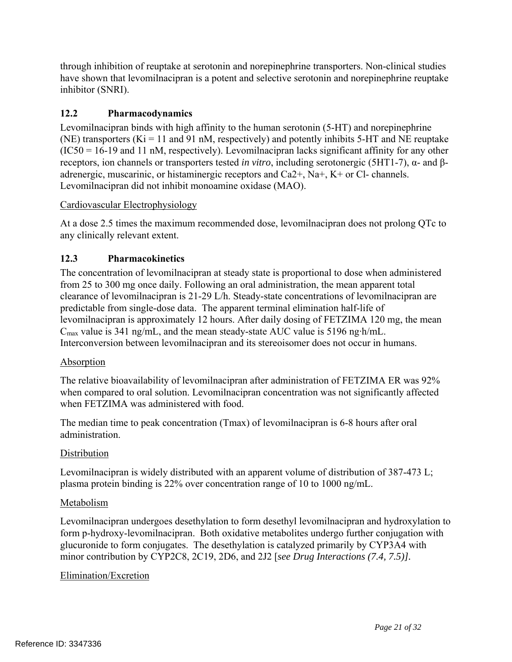through inhibition of reuptake at serotonin and norepinephrine transporters. Non-clinical studies have shown that levomilnacipran is a potent and selective serotonin and norepinephrine reuptake inhibitor (SNRI).

# **12.2 Pharmacodynamics**

Levomilnacipran binds with high affinity to the human serotonin (5-HT) and norepinephrine (NE) transporters (K $i = 11$  and 91 nM, respectively) and potently inhibits 5-HT and NE reuptake (IC50 = 16-19 and 11 nM, respectively). Levomilnacipran lacks significant affinity for any other receptors, ion channels or transporters tested *in vitro*, including serotonergic (5HT1-7), α- and βadrenergic, muscarinic, or histaminergic receptors and Ca2+, Na+, K+ or Cl- channels. Levomilnacipran did not inhibit monoamine oxidase (MAO).

### Cardiovascular Electrophysiology

At a dose 2.5 times the maximum recommended dose, levomilnacipran does not prolong QTc to any clinically relevant extent.

# **12.3 Pharmacokinetics**

The concentration of levomilnacipran at steady state is proportional to dose when administered from 25 to 300 mg once daily. Following an oral administration, the mean apparent total clearance of levomilnacipran is 21-29 L/h. Steady-state concentrations of levomilnacipran are predictable from single-dose data. The apparent terminal elimination half-life of levomilnacipran is approximately 12 hours. After daily dosing of FETZIMA 120 mg, the mean  $C_{\text{max}}$  value is 341 ng/mL, and the mean steady-state AUC value is 5196 ng·h/mL. Interconversion between levomilnacipran and its stereoisomer does not occur in humans.

### Absorption

The relative bioavailability of levomilnacipran after administration of FETZIMA ER was 92% when compared to oral solution. Levomilnacipran concentration was not significantly affected when FETZIMA was administered with food.

The median time to peak concentration (Tmax) of levomilnacipran is 6-8 hours after oral administration.

### **Distribution**

Levomilnacipran is widely distributed with an apparent volume of distribution of 387-473 L; plasma protein binding is 22% over concentration range of 10 to 1000 ng/mL.

#### Metabolism

Levomilnacipran undergoes desethylation to form desethyl levomilnacipran and hydroxylation to form p-hydroxy-levomilnacipran. Both oxidative metabolites undergo further conjugation with glucuronide to form conjugates. The desethylation is catalyzed primarily by CYP3A4 with minor contribution by CYP2C8, 2C19, 2D6, and 2J2 [*see Drug Interactions (7.4, 7.5)].* 

### Elimination/Excretion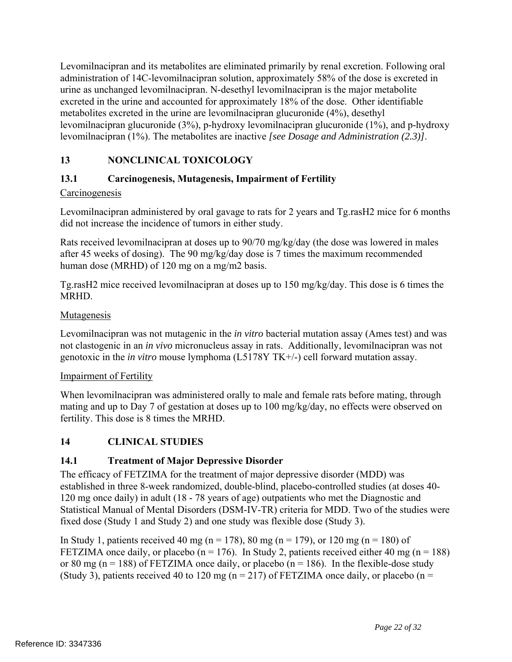Levomilnacipran and its metabolites are eliminated primarily by renal excretion. Following oral administration of 14C-levomilnacipran solution, approximately 58% of the dose is excreted in urine as unchanged levomilnacipran. N-desethyl levomilnacipran is the major metabolite excreted in the urine and accounted for approximately 18% of the dose. Other identifiable metabolites excreted in the urine are levomilnacipran glucuronide (4%), desethyl levomilnacipran glucuronide (3%), p-hydroxy levomilnacipran glucuronide (1%), and p-hydroxy levomilnacipran (1%). The metabolites are inactive *[see Dosage and Administration (2.3)]*.

# **13 NONCLINICAL TOXICOLOGY**

# **13.1 Carcinogenesis, Mutagenesis, Impairment of Fertility**

# **Carcinogenesis**

Levomilnacipran administered by oral gavage to rats for 2 years and Tg.rasH2 mice for 6 months did not increase the incidence of tumors in either study.

Rats received levomilnacipran at doses up to 90/70 mg/kg/day (the dose was lowered in males after 45 weeks of dosing). The 90 mg/kg/day dose is 7 times the maximum recommended human dose (MRHD) of 120 mg on a mg/m2 basis.

Tg.rasH2 mice received levomilnacipran at doses up to 150 mg/kg/day. This dose is 6 times the MRHD.

# Mutagenesis

Levomilnacipran was not mutagenic in the *in vitro* bacterial mutation assay (Ames test) and was not clastogenic in an *in vivo* micronucleus assay in rats. Additionally, levomilnacipran was not genotoxic in the *in vitro* mouse lymphoma (L5178Y TK+/-) cell forward mutation assay.

### Impairment of Fertility

When levomilnacipran was administered orally to male and female rats before mating, through mating and up to Day 7 of gestation at doses up to 100 mg/kg/day, no effects were observed on fertility. This dose is 8 times the MRHD.

# **14 CLINICAL STUDIES**

# **14.1 Treatment of Major Depressive Disorder**

The efficacy of FETZIMA for the treatment of major depressive disorder (MDD) was established in three 8-week randomized, double-blind, placebo-controlled studies (at doses 40 120 mg once daily) in adult (18 - 78 years of age) outpatients who met the Diagnostic and Statistical Manual of Mental Disorders (DSM-IV-TR) criteria for MDD. Two of the studies were fixed dose (Study 1 and Study 2) and one study was flexible dose (Study 3).

In Study 1, patients received 40 mg ( $n = 178$ ), 80 mg ( $n = 179$ ), or 120 mg ( $n = 180$ ) of FETZIMA once daily, or placebo ( $n = 176$ ). In Study 2, patients received either 40 mg ( $n = 188$ ) or 80 mg (n = 188) of FETZIMA once daily, or placebo (n = 186). In the flexible-dose study (Study 3), patients received 40 to 120 mg ( $n = 217$ ) of FETZIMA once daily, or placebo ( $n =$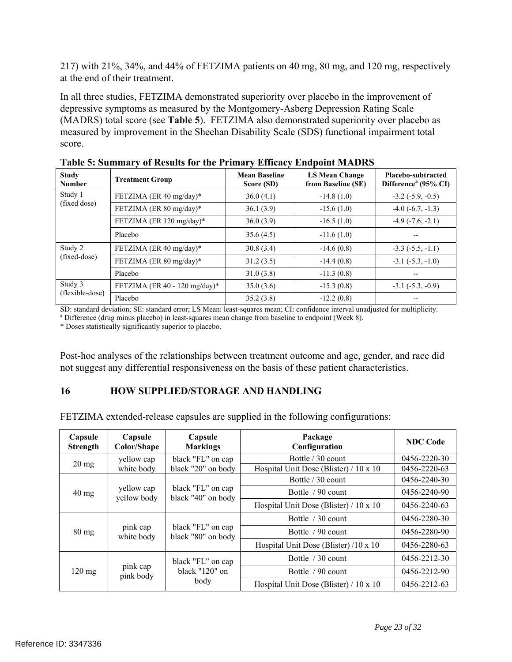217) with 21%, 34%, and 44% of FETZIMA patients on 40 mg, 80 mg, and 120 mg, respectively at the end of their treatment.

 (MADRS) total score (see **Table 5**). FETZIMA also demonstrated superiority over placebo as In all three studies, FETZIMA demonstrated superiority over placebo in the improvement of depressive symptoms as measured by the Montgomery-Asberg Depression Rating Scale measured by improvement in the Sheehan Disability Scale (SDS) functional impairment total score.

|                               |                               | $\sim$                             |                                             |                                                        |
|-------------------------------|-------------------------------|------------------------------------|---------------------------------------------|--------------------------------------------------------|
| <b>Study</b><br><b>Number</b> | <b>Treatment Group</b>        | <b>Mean Baseline</b><br>Score (SD) | <b>LS Mean Change</b><br>from Baseline (SE) | Placebo-subtracted<br>Difference <sup>a</sup> (95% CI) |
| Study 1                       | FETZIMA (ER 40 mg/day)*       | 36.0(4.1)                          | $-14.8(1.0)$                                | $-3.2$ $(-5.9, -0.5)$                                  |
| (fixed dose)                  | FETZIMA (ER 80 mg/day)*       | 36.1(3.9)                          | $-15.6(1.0)$                                | $-4.0$ $(-6.7, -1.3)$                                  |
|                               | FETZIMA (ER 120 mg/day)*      | 36.0(3.9)                          | $-16.5(1.0)$                                | $-4.9$ $(-7.6, -2.1)$                                  |
|                               | Placebo                       | 35.6(4.5)                          | $-11.6(1.0)$                                |                                                        |
| Study 2<br>(fixed-dose)       | FETZIMA (ER 40 mg/day)*       | 30.8(3.4)                          | $-14.6(0.8)$                                | $-3.3$ $(-5.5, -1.1)$                                  |
|                               | FETZIMA (ER 80 mg/day)*       | 31.2(3.5)                          | $-14.4(0.8)$                                | $-3.1$ $(-5.3, -1.0)$                                  |
|                               | Placebo                       | 31.0(3.8)                          | $-11.3(0.8)$                                |                                                        |
| Study 3<br>(flexible-dose)    | FETZIMA (ER 40 - 120 mg/day)* | 35.0(3.6)                          | $-15.3(0.8)$                                | $-3.1$ $(-5.3, -0.9)$                                  |
|                               | Placebo                       | 35.2(3.8)                          | $-12.2(0.8)$                                |                                                        |

**Table 5: Summary of Results for the Primary Efficacy Endpoint MADRS** 

SD: standard deviation; SE: standard error; LS Mean: least-squares mean; CI: confidence interval unadjusted for multiplicity.

Difference (drug minus placebo) in least-squares mean change from baseline to endpoint (Week 8).

\* Doses statistically significantly superior to placebo.

Post-hoc analyses of the relationships between treatment outcome and age, gender, and race did not suggest any differential responsiveness on the basis of these patient characteristics.

# **16 HOW SUPPLIED/STORAGE AND HANDLING**

FETZIMA extended-release capsules are supplied in the following configurations:

| Capsule<br><b>Strength</b>                   | Capsule<br>Color/Shape                  | Capsule<br><b>Markings</b>                    | Package<br>Configuration                      | <b>NDC Code</b>    |
|----------------------------------------------|-----------------------------------------|-----------------------------------------------|-----------------------------------------------|--------------------|
| $20 \text{ mg}$                              | yellow cap                              | black "FL" on cap                             | Bottle / 30 count                             | $0456 - 2220 - 30$ |
|                                              | white body                              | black "20" on body                            | Hospital Unit Dose (Blister) / $10 \times 10$ | 0456-2220-63       |
| yellow cap<br>$40 \text{ mg}$<br>yellow body |                                         |                                               | Bottle / 30 count                             | $0456 - 2240 - 30$ |
|                                              | black "FL" on cap<br>black "40" on body | Bottle / 90 count                             | $0456 - 2240 - 90$                            |                    |
|                                              |                                         |                                               | Hospital Unit Dose (Blister) / 10 x 10        | 0456-2240-63       |
| pink cap<br>$80 \text{ mg}$<br>white body    |                                         | Bottle / 30 count                             | 0456-2280-30                                  |                    |
|                                              |                                         | black "FL" on cap<br>black "80" on body       | Bottle / 90 count                             | 0456-2280-90       |
|                                              |                                         |                                               | Hospital Unit Dose (Blister) $/10 \times 10$  | 0456-2280-63       |
|                                              |                                         | black "FL" on cap<br>black $"120"$ on<br>body | Bottle / 30 count                             | 0456-2212-30       |
| $120 \text{ mg}$                             | pink cap<br>pink body                   |                                               | Bottle / 90 count                             | 0456-2212-90       |
|                                              |                                         |                                               | Hospital Unit Dose (Blister) / $10 \times 10$ | 0456-2212-63       |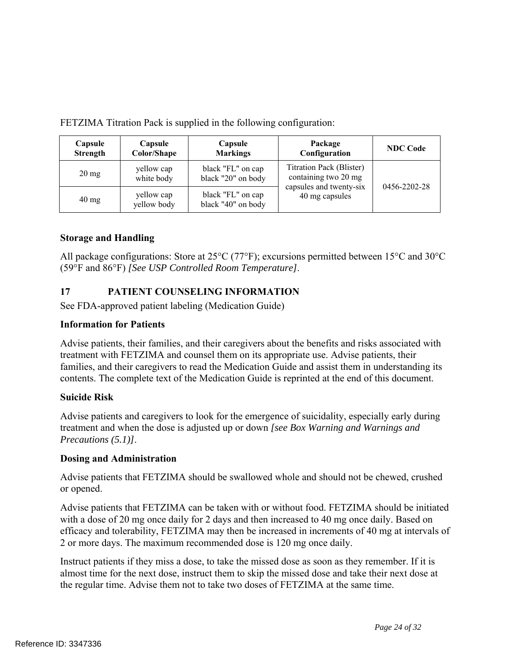| Capsule<br><b>Strength</b> | Capsule<br>Color/Shape    | Capsule<br><b>Markings</b>              | Package<br>Configuration                                | <b>NDC Code</b> |
|----------------------------|---------------------------|-----------------------------------------|---------------------------------------------------------|-----------------|
| $20 \text{ mg}$            | yellow cap<br>white body  | black "FL" on cap<br>black "20" on body | <b>Titration Pack (Blister)</b><br>containing two 20 mg | 0456-2202-28    |
| $40 \text{ mg}$            | yellow cap<br>yellow body | black "FL" on cap<br>black "40" on body | capsules and twenty-six<br>40 mg capsules               |                 |

#### **Storage and Handling**

All package configurations: Store at 25°C (77°F); excursions permitted between 15°C and 30°C (59°F and 86°F) *[See USP Controlled Room Temperature]*.

### **17 PATIENT COUNSELING INFORMATION**

See FDA-approved patient labeling (Medication Guide)

#### **Information for Patients**

Advise patients, their families, and their caregivers about the benefits and risks associated with treatment with FETZIMA and counsel them on its appropriate use. Advise patients, their families, and their caregivers to read the Medication Guide and assist them in understanding its contents. The complete text of the Medication Guide is reprinted at the end of this document.

#### **Suicide Risk**

Advise patients and caregivers to look for the emergence of suicidality, especially early during treatment and when the dose is adjusted up or down *[see Box Warning and Warnings and Precautions (5.1)]*.

#### **Dosing and Administration**

Advise patients that FETZIMA should be swallowed whole and should not be chewed, crushed or opened.

Advise patients that FETZIMA can be taken with or without food. FETZIMA should be initiated with a dose of 20 mg once daily for 2 days and then increased to 40 mg once daily. Based on efficacy and tolerability, FETZIMA may then be increased in increments of 40 mg at intervals of 2 or more days. The maximum recommended dose is 120 mg once daily.

Instruct patients if they miss a dose, to take the missed dose as soon as they remember. If it is almost time for the next dose, instruct them to skip the missed dose and take their next dose at the regular time. Advise them not to take two doses of FETZIMA at the same time.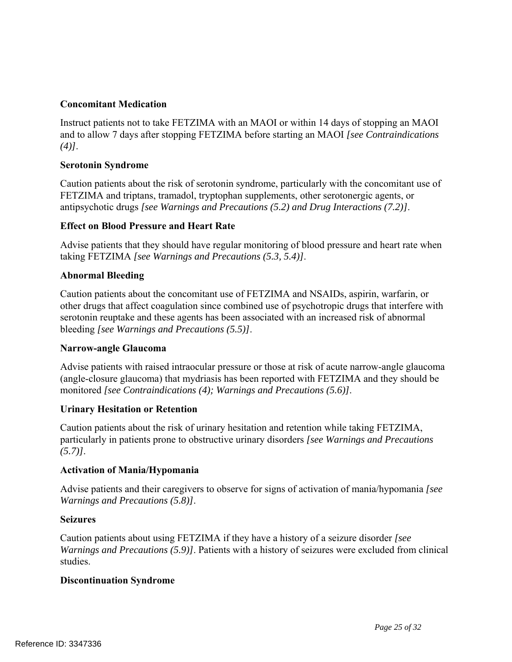#### **Concomitant Medication**

Instruct patients not to take FETZIMA with an MAOI or within 14 days of stopping an MAOI and to allow 7 days after stopping FETZIMA before starting an MAOI *[see Contraindications (4)]*.

#### **Serotonin Syndrome**

Caution patients about the risk of serotonin syndrome, particularly with the concomitant use of FETZIMA and triptans, tramadol, tryptophan supplements, other serotonergic agents, or antipsychotic drugs *[see Warnings and Precautions (5.2) and Drug Interactions (7.2)]*.

#### **Effect on Blood Pressure and Heart Rate**

Advise patients that they should have regular monitoring of blood pressure and heart rate when taking FETZIMA *[see Warnings and Precautions (5.3, 5.4)]*.

#### **Abnormal Bleeding**

Caution patients about the concomitant use of FETZIMA and NSAIDs, aspirin, warfarin, or other drugs that affect coagulation since combined use of psychotropic drugs that interfere with serotonin reuptake and these agents has been associated with an increased risk of abnormal bleeding *[see Warnings and Precautions (5.5)]*.

#### **Narrow-angle Glaucoma**

Advise patients with raised intraocular pressure or those at risk of acute narrow-angle glaucoma (angle-closure glaucoma) that mydriasis has been reported with FETZIMA and they should be monitored *[see Contraindications (4); Warnings and Precautions (5.6)]*.

#### **Urinary Hesitation or Retention**

Caution patients about the risk of urinary hesitation and retention while taking FETZIMA, particularly in patients prone to obstructive urinary disorders *[see Warnings and Precautions (5.7)]*.

#### **Activation of Mania/Hypomania**

Advise patients and their caregivers to observe for signs of activation of mania/hypomania *[see Warnings and Precautions (5.8)]*.

#### **Seizures**

Caution patients about using FETZIMA if they have a history of a seizure disorder *[see Warnings and Precautions (5.9)]*. Patients with a history of seizures were excluded from clinical studies.

#### **Discontinuation Syndrome**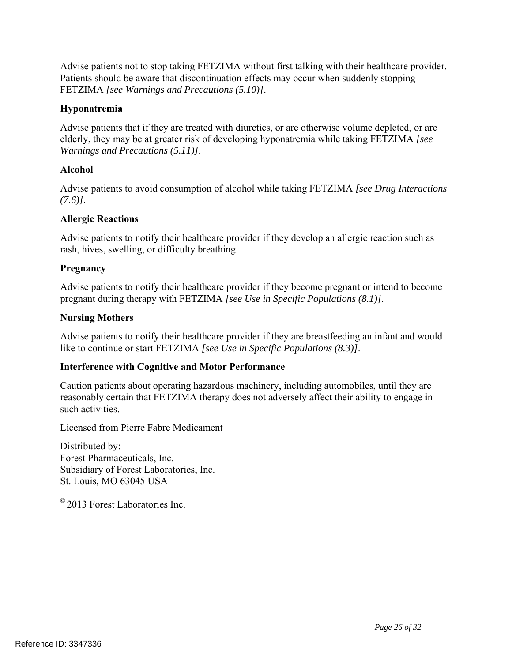Advise patients not to stop taking FETZIMA without first talking with their healthcare provider. Patients should be aware that discontinuation effects may occur when suddenly stopping FETZIMA *[see Warnings and Precautions (5.10)]*.

### **Hyponatremia**

Advise patients that if they are treated with diuretics, or are otherwise volume depleted, or are elderly, they may be at greater risk of developing hyponatremia while taking FETZIMA *[see Warnings and Precautions (5.11)]*.

# **Alcohol**

Advise patients to avoid consumption of alcohol while taking FETZIMA *[see Drug Interactions (7.6)]*.

# **Allergic Reactions**

Advise patients to notify their healthcare provider if they develop an allergic reaction such as rash, hives, swelling, or difficulty breathing.

# **Pregnancy**

Advise patients to notify their healthcare provider if they become pregnant or intend to become pregnant during therapy with FETZIMA *[see Use in Specific Populations (8.1)]*.

# **Nursing Mothers**

Advise patients to notify their healthcare provider if they are breastfeeding an infant and would like to continue or start FETZIMA *[see Use in Specific Populations (8.3)]*.

### **Interference with Cognitive and Motor Performance**

Caution patients about operating hazardous machinery, including automobiles, until they are reasonably certain that FETZIMA therapy does not adversely affect their ability to engage in such activities.

Licensed from Pierre Fabre Medicament

Distributed by: Forest Pharmaceuticals, Inc. Subsidiary of Forest Laboratories, Inc. St. Louis, MO 63045 USA

© 2013 Forest Laboratories Inc.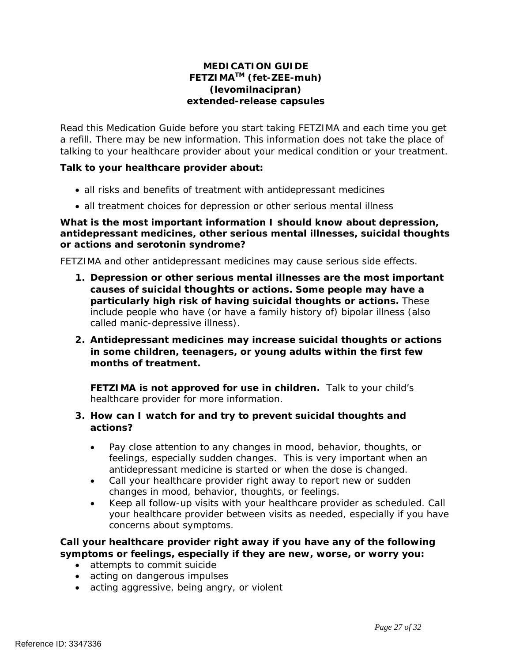### **MEDICATION GUIDE FETZIMATM (fet-ZEE-muh) (levomilnacipran) extended-release capsules**

Read this Medication Guide before you start taking FETZIMA and each time you get a refill. There may be new information. This information does not take the place of talking to your healthcare provider about your medical condition or your treatment.

#### **Talk to your healthcare provider about:**

- all risks and benefits of treatment with antidepressant medicines
- all treatment choices for depression or other serious mental illness

#### **What is the most important information I should know about depression, antidepressant medicines, other serious mental illnesses, suicidal thoughts or actions and serotonin syndrome?**

FETZIMA and other antidepressant medicines may cause serious side effects.

- **1. Depression or other serious mental illnesses are the most important causes of suicidal thoughts or actions. Some people may have a particularly high risk of having suicidal thoughts or actions.** These include people who have (or have a family history of) bipolar illness (also called manic-depressive illness).
- **2. Antidepressant medicines may increase suicidal thoughts or actions in some children, teenagers, or young adults within the first few months of treatment.**

**FETZIMA is not approved for use in children.** Talk to your child's healthcare provider for more information.

#### **3. How can I watch for and try to prevent suicidal thoughts and actions?**

- Pay close attention to any changes in mood, behavior, thoughts, or feelings, especially sudden changes. This is very important when an antidepressant medicine is started or when the dose is changed.
- Call your healthcare provider right away to report new or sudden changes in mood, behavior, thoughts, or feelings.
- Keep all follow-up visits with your healthcare provider as scheduled. Call your healthcare provider between visits as needed, especially if you have concerns about symptoms.

**Call your healthcare provider right away if you have any of the following symptoms or feelings, especially if they are new, worse, or worry you:** 

- attempts to commit suicide
- acting on dangerous impulses
- acting aggressive, being angry, or violent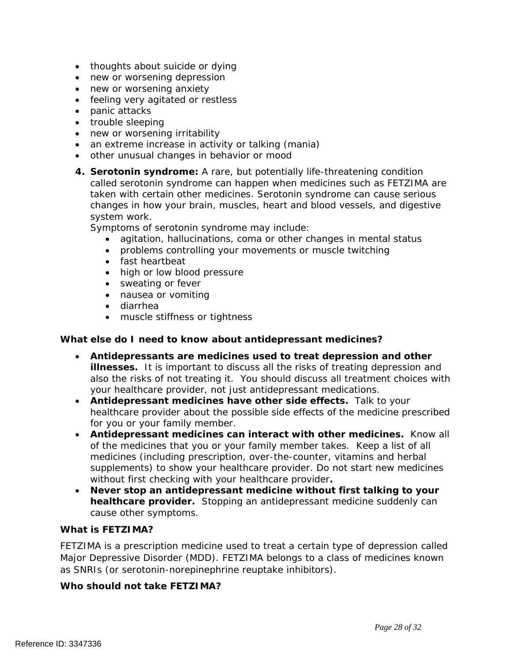- thoughts about suicide or dying
- new or worsening depression
- new or worsening anxiety
- feeling very agitated or restless
- panic attacks
- trouble sleeping
- new or worsening irritability
- an extreme increase in activity or talking (mania)
- other unusual changes in behavior or mood
- **4. Serotonin syndrome:** A rare, but potentially life-threatening condition called serotonin syndrome can happen when medicines such as FETZIMA are taken with certain other medicines. Serotonin syndrome can cause serious changes in how your brain, muscles, heart and blood vessels, and digestive system work.

Symptoms of serotonin syndrome may include:

- agitation, hallucinations, coma or other changes in mental status
- problems controlling your movements or muscle twitching
- fast heartbeat
- high or low blood pressure
- sweating or fever
- nausea or vomiting
- diarrhea
- muscle stiffness or tightness

#### **What else do I need to know about antidepressant medicines?**

- your healthcare provider, not just antidepressant medications. **Antidepressants are medicines used to treat depression and other illnesses.** It is important to discuss all the risks of treating depression and also the risks of not treating it. You should discuss all treatment choices with
- **Antidepressant medicines have other side effects.** Talk to your healthcare provider about the possible side effects of the medicine prescribed for you or your family member.
- **Antidepressant medicines can interact with other medicines.** Know all of the medicines that you or your family member takes. Keep a list of all medicines (including prescription, over-the-counter, vitamins and herbal supplements) to show your healthcare provider. Do not start new medicines without first checking with your healthcare provider**.**
- **healthcare provider.** Stopping an antidepressant medicine suddenly can **Never stop an antidepressant medicine without first talking to your**  cause other symptoms.

#### **What is FETZIMA?**

FETZIMA is a prescription medicine used to treat a certain type of depression called Major Depressive Disorder (MDD). FETZIMA belongs to a class of medicines known as SNRIs (or serotonin-norepinephrine reuptake inhibitors).

### **Who should not take FETZIMA?**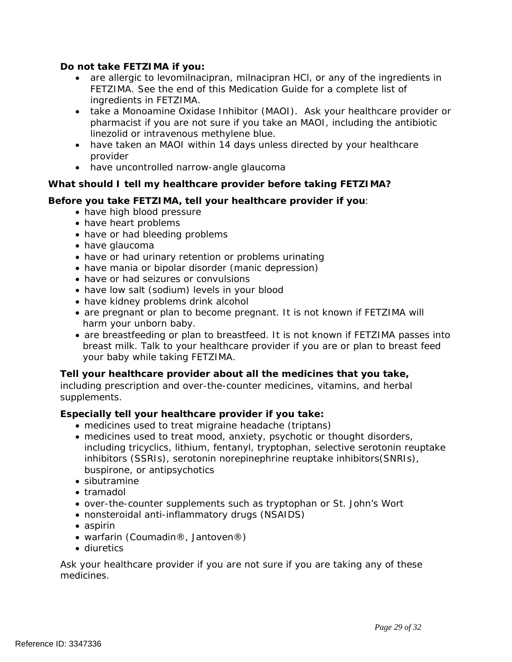#### **Do not take FETZIMA if you:**

- are allergic to levomilnacipran, milnacipran HCl, or any of the ingredients in FETZIMA. See the end of this Medication Guide for a complete list of ingredients in FETZIMA.
- take a Monoamine Oxidase Inhibitor (MAOI). Ask your healthcare provider or linezolid or intravenous methylene blue. pharmacist if you are not sure if you take an MAOI, including the antibiotic
- have taken an MAOI within 14 days unless directed by your healthcare provider
- have uncontrolled narrow-angle glaucoma

#### **What should I tell my healthcare provider before taking FETZIMA?**

#### **Before you take FETZIMA, tell your healthcare provider if you**:

- have high blood pressure
- have heart problems
- have or had bleeding problems
- have glaucoma
- have or had urinary retention or problems urinating
- have mania or bipolar disorder (manic depression)
- have or had seizures or convulsions
- have low salt (sodium) levels in your blood
- have kidney problems drink alcohol
- are pregnant or plan to become pregnant. It is not known if FETZIMA will harm your unborn baby.
- are breastfeeding or plan to breastfeed. It is not known if FETZIMA passes into breast milk. Talk to your healthcare provider if you are or plan to breast feed your baby while taking FETZIMA.

#### **Tell your healthcare provider about all the medicines that you take,**

including prescription and over-the-counter medicines, vitamins, and herbal supplements.

#### **Especially tell your healthcare provider if you take:**

- medicines used to treat migraine headache (triptans)
- medicines used to treat mood, anxiety, psychotic or thought disorders, including tricyclics, lithium, fentanyl, tryptophan, selective serotonin reuptake inhibitors (SSRIs), serotonin norepinephrine reuptake inhibitors(SNRIs), buspirone, or antipsychotics
- sibutramine
- tramadol
- over-the-counter supplements such as tryptophan or St. John's Wort
- nonsteroidal anti-inflammatory drugs (NSAIDS)
- aspirin
- warfarin (Coumadin®, Jantoven®)
- diuretics

Ask your healthcare provider if you are not sure if you are taking any of these medicines.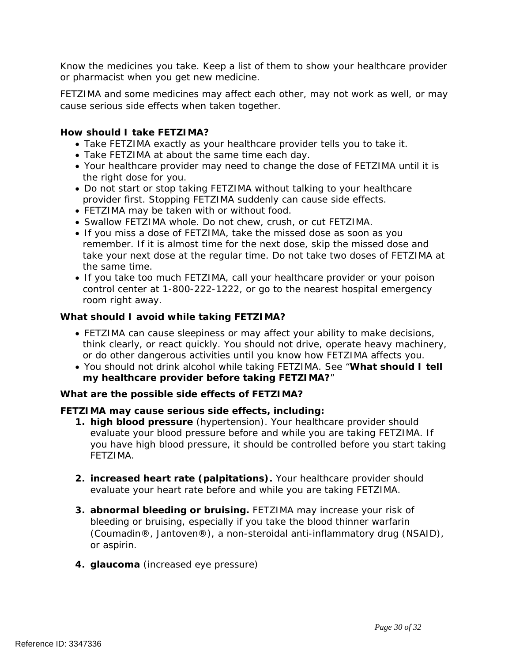Know the medicines you take. Keep a list of them to show your healthcare provider or pharmacist when you get new medicine.

FETZIMA and some medicines may affect each other, may not work as well, or may cause serious side effects when taken together.

#### **How should I take FETZIMA?**

- Take FETZIMA exactly as your healthcare provider tells you to take it.
- Take FETZIMA at about the same time each day.
- Your healthcare provider may need to change the dose of FETZIMA until it is the right dose for you.
- Do not start or stop taking FETZIMA without talking to your healthcare provider first. Stopping FETZIMA suddenly can cause side effects.
- FETZIMA may be taken with or without food.
- Swallow FETZIMA whole. Do not chew, crush, or cut FETZIMA.
- If you miss a dose of FETZIMA, take the missed dose as soon as you remember. If it is almost time for the next dose, skip the missed dose and take your next dose at the regular time. Do not take two doses of FETZIMA at the same time.
- If you take too much FETZIMA, call your healthcare provider or your poison control center at 1-800-222-1222, or go to the nearest hospital emergency room right away.

#### **What should I avoid while taking FETZIMA?**

- FETZIMA can cause sleepiness or may affect your ability to make decisions, think clearly, or react quickly. You should not drive, operate heavy machinery, or do other dangerous activities until you know how FETZIMA affects you.
- You should not drink alcohol while taking FETZIMA. See "**What should I tell my healthcare provider before taking FETZIMA?**"

#### **What are the possible side effects of FETZIMA?**

#### **FETZIMA may cause serious side effects, including:**

- evaluate your blood pressure before and while you are taking FETZIMA. If **1. high blood pressure** (hypertension). Your healthcare provider should you have high blood pressure, it should be controlled before you start taking FETZIMA.
- **2. increased heart rate (palpitations).** Your healthcare provider should evaluate your heart rate before and while you are taking FETZIMA.
- **3. abnormal bleeding or bruising.** FETZIMA may increase your risk of bleeding or bruising, especially if you take the blood thinner warfarin (Coumadin®, Jantoven®), a non-steroidal anti-inflammatory drug (NSAID), or aspirin.
- **4. glaucoma** (increased eye pressure)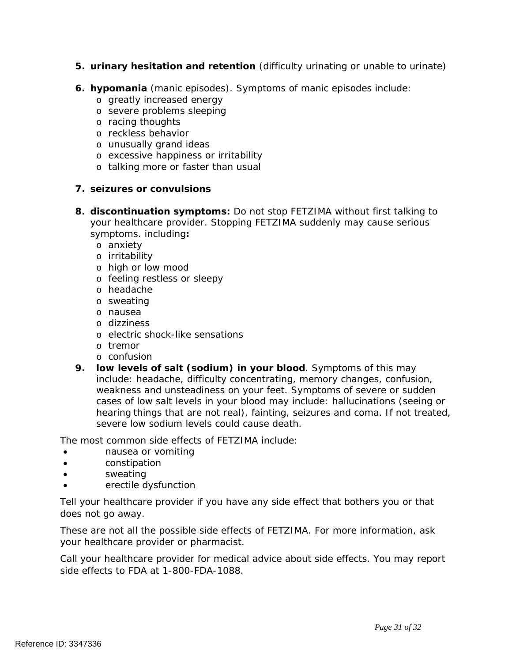- **5. urinary hesitation and retention** (difficulty urinating or unable to urinate)
- **6. hypomania** (manic episodes). Symptoms of manic episodes include:
	- o greatly increased energy
	- o severe problems sleeping
	- o racing thoughts
	- o reckless behavior
	- o unusually grand ideas
	- o excessive happiness or irritability
	- o talking more or faster than usual

#### **7. seizures or convulsions**

- **8. discontinuation symptoms:** Do not stop FETZIMA without first talking to your healthcare provider. Stopping FETZIMA suddenly may cause serious symptoms. including**:** 
	- o anxiety
	- o irritability
	- o high or low mood
	- o feeling restless or sleepy
	- o headache
	- o sweating
	- o nausea
	- o dizziness
	- o electric shock-like sensations
	- o tremor
	- o confusion
- **9. low levels of salt (sodium) in your blood**. Symptoms of this may include: headache, difficulty concentrating, memory changes, confusion, weakness and unsteadiness on your feet. Symptoms of severe or sudden cases of low salt levels in your blood may include: hallucinations (seeing or hearing things that are not real), fainting, seizures and coma. If not treated, severe low sodium levels could cause death.

The most common side effects of FETZIMA include:

- **nausea or vomiting**
- constipation
- **sweating**
- erectile dysfunction

does not go away. Tell your healthcare provider if you have any side effect that bothers you or that

These are not all the possible side effects of FETZIMA. For more information, ask your healthcare provider or pharmacist.

Call your healthcare provider for medical advice about side effects. You may report side effects to FDA at 1-800-FDA-1088.